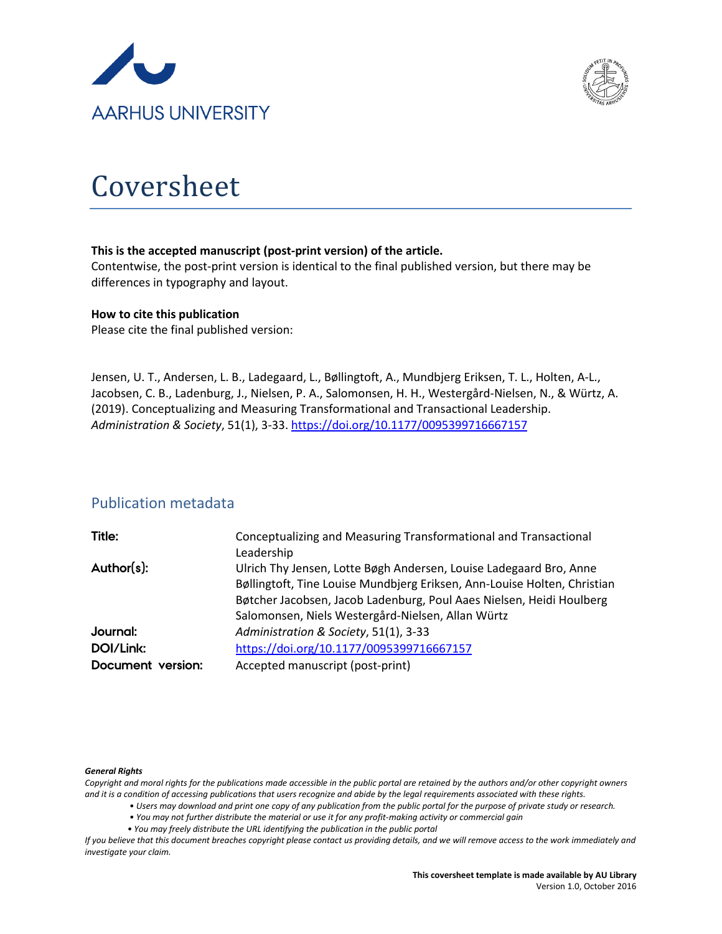



# Coversheet

#### **This is the accepted manuscript (post-print version) of the article.**

Contentwise, the post-print version is identical to the final published version, but there may be differences in typography and layout.

#### **How to cite this publication**

Please cite the final published version:

Jensen, U. T., Andersen, L. B., Ladegaard, L., Bøllingtoft, A., Mundbjerg Eriksen, T. L., Holten, A-L., Jacobsen, C. B., Ladenburg, J., Nielsen, P. A., Salomonsen, H. H., Westergård-Nielsen, N., & Würtz, A. (2019). Conceptualizing and Measuring Transformational and Transactional Leadership. *Administration & Society*, 51(1), 3-33.<https://doi.org/10.1177/0095399716667157>

### Publication metadata

| Title:            | Conceptualizing and Measuring Transformational and Transactional<br>Leadership                                                                                                                                                                                              |
|-------------------|-----------------------------------------------------------------------------------------------------------------------------------------------------------------------------------------------------------------------------------------------------------------------------|
| Author(s):        | Ulrich Thy Jensen, Lotte Bøgh Andersen, Louise Ladegaard Bro, Anne<br>Bøllingtoft, Tine Louise Mundbjerg Eriksen, Ann-Louise Holten, Christian<br>Bøtcher Jacobsen, Jacob Ladenburg, Poul Aaes Nielsen, Heidi Houlberg<br>Salomonsen, Niels Westergård-Nielsen, Allan Würtz |
| Journal:          | Administration & Society, 51(1), 3-33                                                                                                                                                                                                                                       |
| DOI/Link:         | https://doi.org/10.1177/0095399716667157                                                                                                                                                                                                                                    |
| Document version: | Accepted manuscript (post-print)                                                                                                                                                                                                                                            |

#### *General Rights*

*Copyright and moral rights for the publications made accessible in the public portal are retained by the authors and/or other copyright owners and it is a condition of accessing publications that users recognize and abide by the legal requirements associated with these rights.*

- *Users may download and print one copy of any publication from the public portal for the purpose of private study or research.*
- *You may not further distribute the material or use it for any profit-making activity or commercial gain*
- *You may freely distribute the URL identifying the publication in the public portal*

*If you believe that this document breaches copyright please contact us providing details, and we will remove access to the work immediately and investigate your claim.*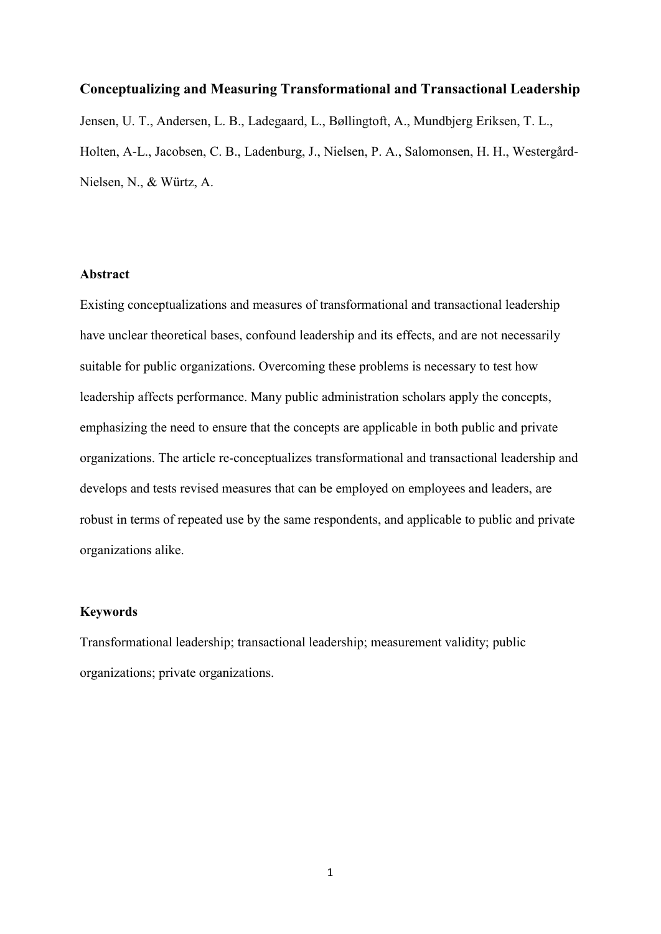#### **Conceptualizing and Measuring Transformational and Transactional Leadership**

Jensen, U. T., Andersen, L. B., Ladegaard, L., Bøllingtoft, A., Mundbjerg Eriksen, T. L., Holten, A-L., Jacobsen, C. B., Ladenburg, J., Nielsen, P. A., Salomonsen, H. H., Westergård-Nielsen, N., & Würtz, A.

#### **Abstract**

Existing conceptualizations and measures of transformational and transactional leadership have unclear theoretical bases, confound leadership and its effects, and are not necessarily suitable for public organizations. Overcoming these problems is necessary to test how leadership affects performance. Many public administration scholars apply the concepts, emphasizing the need to ensure that the concepts are applicable in both public and private organizations. The article re-conceptualizes transformational and transactional leadership and develops and tests revised measures that can be employed on employees and leaders, are robust in terms of repeated use by the same respondents, and applicable to public and private organizations alike.

#### **Keywords**

Transformational leadership; transactional leadership; measurement validity; public organizations; private organizations.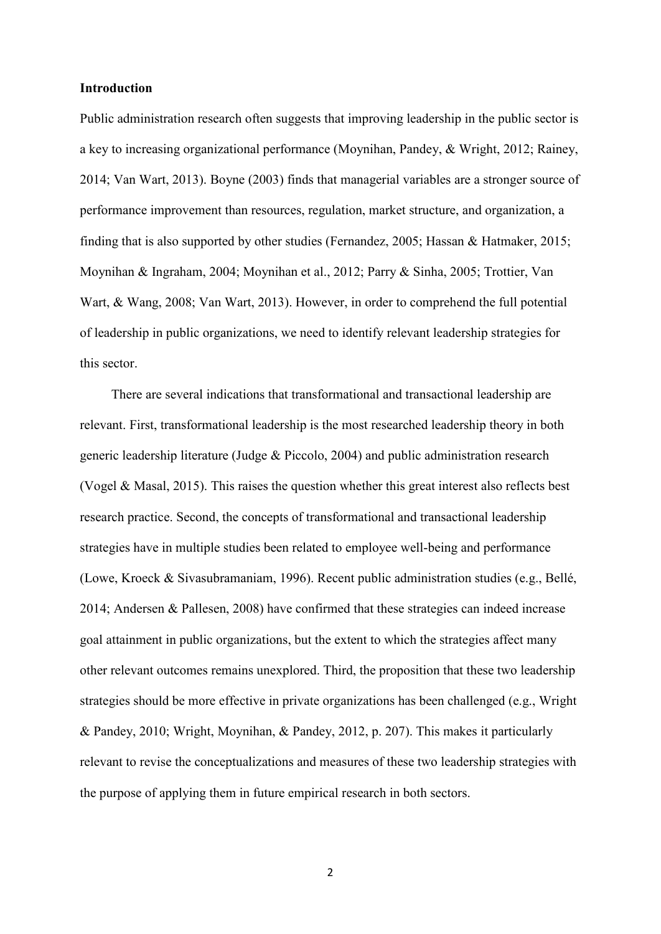#### **Introduction**

Public administration research often suggests that improving leadership in the public sector is a key to increasing organizational performance (Moynihan, Pandey, & Wright, 2012; Rainey, 2014; Van Wart, 2013). Boyne (2003) finds that managerial variables are a stronger source of performance improvement than resources, regulation, market structure, and organization, a finding that is also supported by other studies (Fernandez, 2005; Hassan & Hatmaker, 2015; Moynihan & Ingraham, 2004; Moynihan et al., 2012; Parry & Sinha, 2005; Trottier, Van Wart, & Wang, 2008; Van Wart, 2013). However, in order to comprehend the full potential of leadership in public organizations, we need to identify relevant leadership strategies for this sector.

There are several indications that transformational and transactional leadership are relevant. First, transformational leadership is the most researched leadership theory in both generic leadership literature (Judge & Piccolo, 2004) and public administration research (Vogel & Masal, 2015). This raises the question whether this great interest also reflects best research practice. Second, the concepts of transformational and transactional leadership strategies have in multiple studies been related to employee well-being and performance (Lowe, Kroeck & Sivasubramaniam, 1996). Recent public administration studies (e.g., Bellé, 2014; Andersen & Pallesen, 2008) have confirmed that these strategies can indeed increase goal attainment in public organizations, but the extent to which the strategies affect many other relevant outcomes remains unexplored. Third, the proposition that these two leadership strategies should be more effective in private organizations has been challenged (e.g., Wright & Pandey, 2010; Wright, Moynihan, & Pandey, 2012, p. 207). This makes it particularly relevant to revise the conceptualizations and measures of these two leadership strategies with the purpose of applying them in future empirical research in both sectors.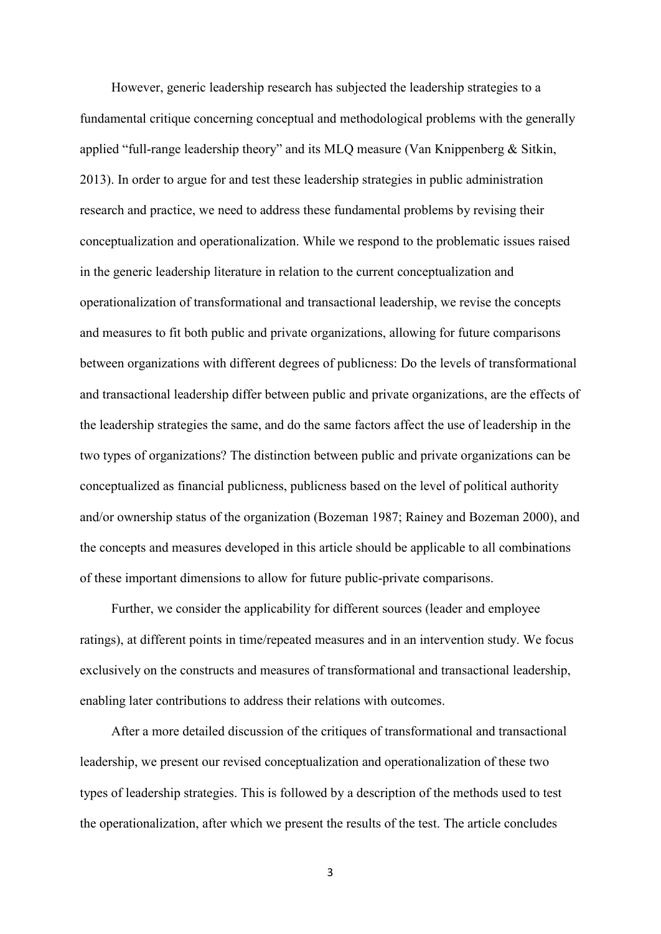However, generic leadership research has subjected the leadership strategies to a fundamental critique concerning conceptual and methodological problems with the generally applied "full-range leadership theory" and its MLQ measure (Van Knippenberg & Sitkin, 2013). In order to argue for and test these leadership strategies in public administration research and practice, we need to address these fundamental problems by revising their conceptualization and operationalization. While we respond to the problematic issues raised in the generic leadership literature in relation to the current conceptualization and operationalization of transformational and transactional leadership, we revise the concepts and measures to fit both public and private organizations, allowing for future comparisons between organizations with different degrees of publicness: Do the levels of transformational and transactional leadership differ between public and private organizations, are the effects of the leadership strategies the same, and do the same factors affect the use of leadership in the two types of organizations? The distinction between public and private organizations can be conceptualized as financial publicness, publicness based on the level of political authority and/or ownership status of the organization (Bozeman 1987; Rainey and Bozeman 2000), and the concepts and measures developed in this article should be applicable to all combinations of these important dimensions to allow for future public-private comparisons.

Further, we consider the applicability for different sources (leader and employee ratings), at different points in time/repeated measures and in an intervention study. We focus exclusively on the constructs and measures of transformational and transactional leadership, enabling later contributions to address their relations with outcomes.

After a more detailed discussion of the critiques of transformational and transactional leadership, we present our revised conceptualization and operationalization of these two types of leadership strategies. This is followed by a description of the methods used to test the operationalization, after which we present the results of the test. The article concludes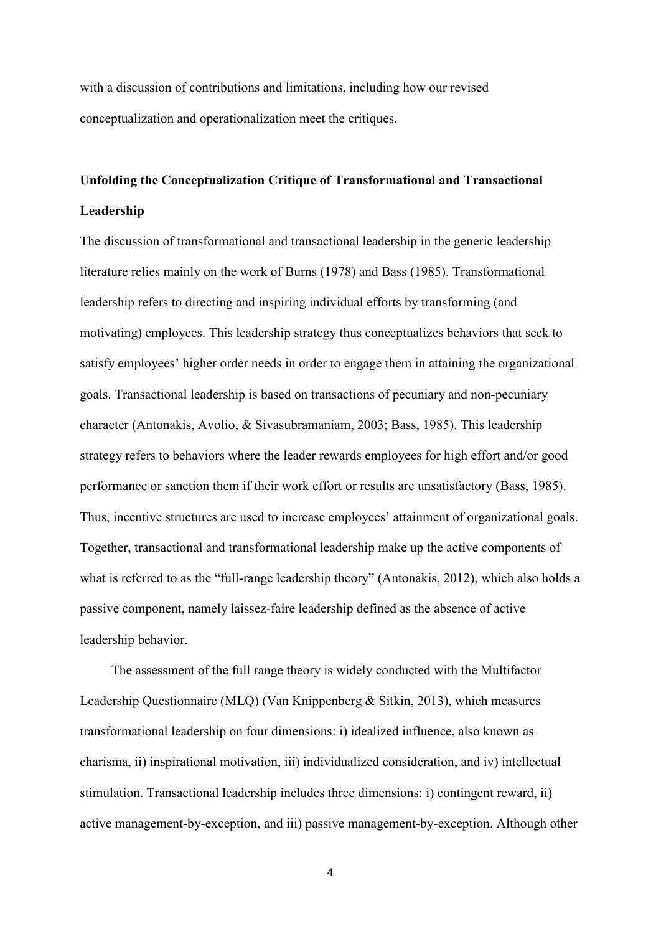with a discussion of contributions and limitations, including how our revised conceptualization and operationalization meet the critiques.

# **Unfolding the Conceptualization Critique of Transformational and Transactional Leadership**

The discussion of transformational and transactional leadership in the generic leadership literature relies mainly on the work of Burns (1978) and Bass (1985). Transformational leadership refers to directing and inspiring individual efforts by transforming (and motivating) employees. This leadership strategy thus conceptualizes behaviors that seek to satisfy employees' higher order needs in order to engage them in attaining the organizational goals. Transactional leadership is based on transactions of pecuniary and non-pecuniary character (Antonakis, Avolio, & Sivasubramaniam, 2003; Bass, 1985). This leadership strategy refers to behaviors where the leader rewards employees for high effort and/or good performance or sanction them if their work effort or results are unsatisfactory (Bass, 1985). Thus, incentive structures are used to increase employees' attainment of organizational goals. Together, transactional and transformational leadership make up the active components of what is referred to as the "full-range leadership theory" (Antonakis, 2012), which also holds a passive component, namely laissez-faire leadership defined as the absence of active leadership behavior.

The assessment of the full range theory is widely conducted with the Multifactor Leadership Questionnaire (MLQ) (Van Knippenberg & Sitkin, 2013), which measures transformational leadership on four dimensions: i) idealized influence, also known as charisma, ii) inspirational motivation, iii) individualized consideration, and iv) intellectual stimulation. Transactional leadership includes three dimensions: i) contingent reward, ii) active management-by-exception, and iii) passive management-by-exception. Although other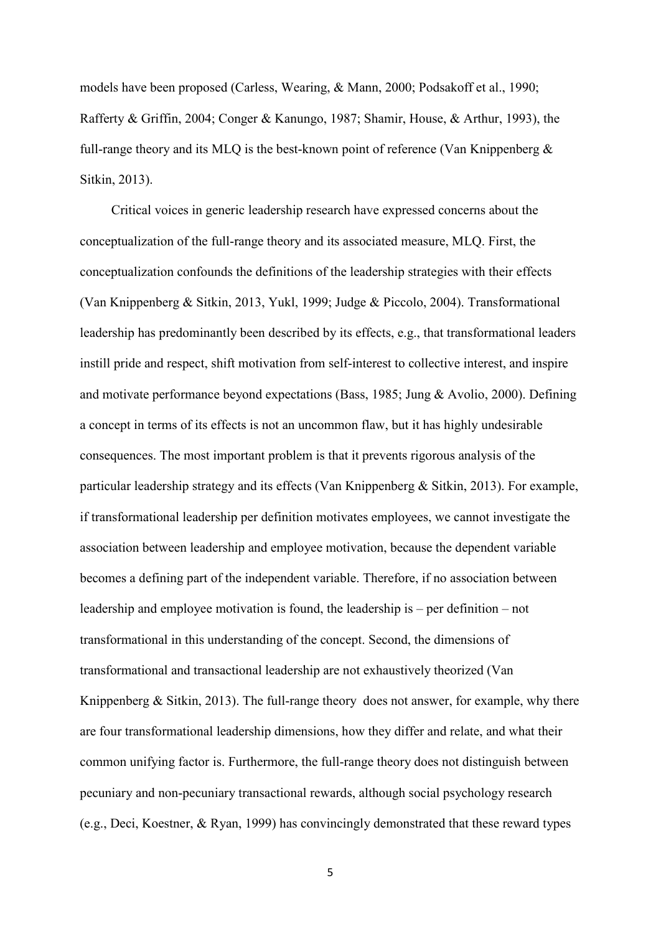models have been proposed (Carless, Wearing, & Mann, 2000; Podsakoff et al., 1990; Rafferty & Griffin, 2004; Conger & Kanungo, 1987; Shamir, House, & Arthur, 1993), the full-range theory and its MLQ is the best-known point of reference (Van Knippenberg & Sitkin, 2013).

Critical voices in generic leadership research have expressed concerns about the conceptualization of the full-range theory and its associated measure, MLQ. First, the conceptualization confounds the definitions of the leadership strategies with their effects (Van Knippenberg & Sitkin, 2013, Yukl, 1999; Judge & Piccolo, 2004). Transformational leadership has predominantly been described by its effects, e.g., that transformational leaders instill pride and respect, shift motivation from self-interest to collective interest, and inspire and motivate performance beyond expectations (Bass, 1985; Jung & Avolio, 2000). Defining a concept in terms of its effects is not an uncommon flaw, but it has highly undesirable consequences. The most important problem is that it prevents rigorous analysis of the particular leadership strategy and its effects (Van Knippenberg & Sitkin, 2013). For example, if transformational leadership per definition motivates employees, we cannot investigate the association between leadership and employee motivation, because the dependent variable becomes a defining part of the independent variable. Therefore, if no association between leadership and employee motivation is found, the leadership is – per definition – not transformational in this understanding of the concept. Second, the dimensions of transformational and transactional leadership are not exhaustively theorized (Van Knippenberg & Sitkin, 2013). The full-range theory does not answer, for example, why there are four transformational leadership dimensions, how they differ and relate, and what their common unifying factor is. Furthermore, the full-range theory does not distinguish between pecuniary and non-pecuniary transactional rewards, although social psychology research (e.g., Deci, Koestner, & Ryan, 1999) has convincingly demonstrated that these reward types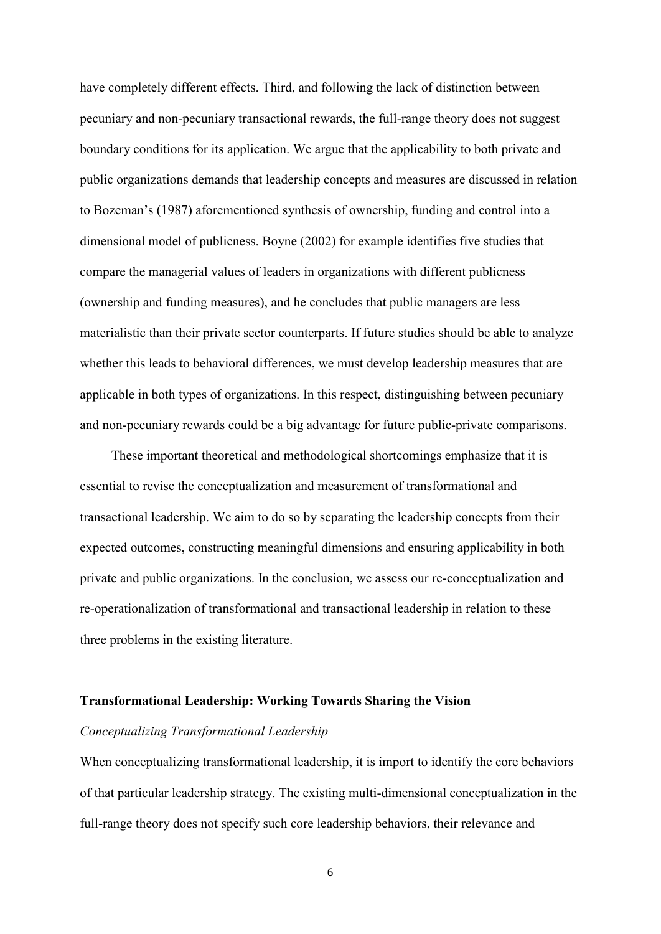have completely different effects. Third, and following the lack of distinction between pecuniary and non-pecuniary transactional rewards, the full-range theory does not suggest boundary conditions for its application. We argue that the applicability to both private and public organizations demands that leadership concepts and measures are discussed in relation to Bozeman's (1987) aforementioned synthesis of ownership, funding and control into a dimensional model of publicness. Boyne (2002) for example identifies five studies that compare the managerial values of leaders in organizations with different publicness (ownership and funding measures), and he concludes that public managers are less materialistic than their private sector counterparts. If future studies should be able to analyze whether this leads to behavioral differences, we must develop leadership measures that are applicable in both types of organizations. In this respect, distinguishing between pecuniary and non-pecuniary rewards could be a big advantage for future public-private comparisons.

These important theoretical and methodological shortcomings emphasize that it is essential to revise the conceptualization and measurement of transformational and transactional leadership. We aim to do so by separating the leadership concepts from their expected outcomes, constructing meaningful dimensions and ensuring applicability in both private and public organizations. In the conclusion, we assess our re-conceptualization and re-operationalization of transformational and transactional leadership in relation to these three problems in the existing literature.

#### **Transformational Leadership: Working Towards Sharing the Vision**

#### *Conceptualizing Transformational Leadership*

When conceptualizing transformational leadership, it is import to identify the core behaviors of that particular leadership strategy. The existing multi-dimensional conceptualization in the full-range theory does not specify such core leadership behaviors, their relevance and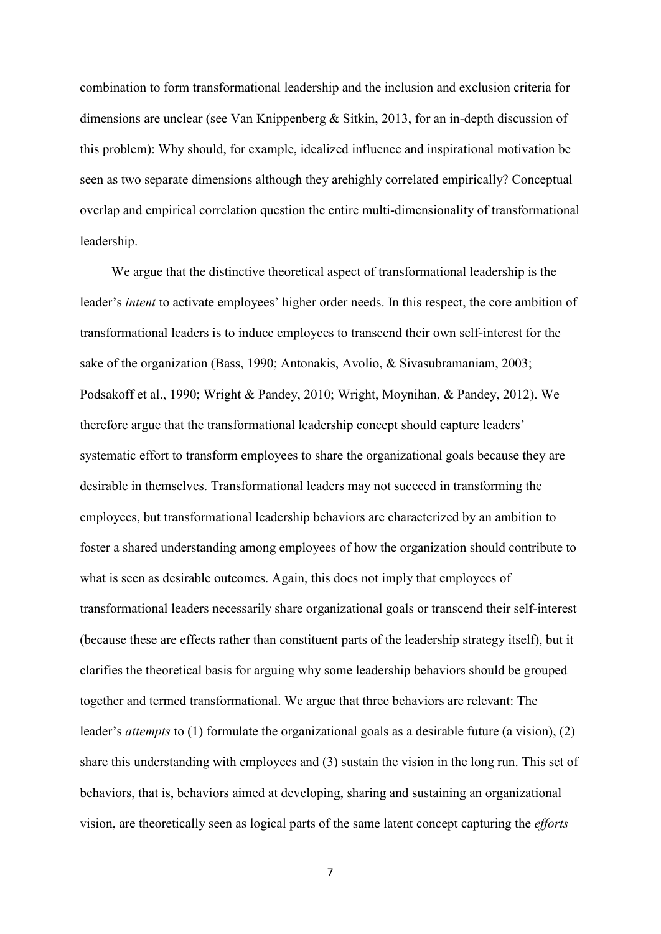combination to form transformational leadership and the inclusion and exclusion criteria for dimensions are unclear (see Van Knippenberg & Sitkin, 2013, for an in-depth discussion of this problem): Why should, for example, idealized influence and inspirational motivation be seen as two separate dimensions although they arehighly correlated empirically? Conceptual overlap and empirical correlation question the entire multi-dimensionality of transformational leadership.

We argue that the distinctive theoretical aspect of transformational leadership is the leader's *intent* to activate employees' higher order needs. In this respect, the core ambition of transformational leaders is to induce employees to transcend their own self-interest for the sake of the organization (Bass, 1990; Antonakis, Avolio, & Sivasubramaniam, 2003; Podsakoff et al., 1990; Wright & Pandey, 2010; Wright, Moynihan, & Pandey, 2012). We therefore argue that the transformational leadership concept should capture leaders' systematic effort to transform employees to share the organizational goals because they are desirable in themselves. Transformational leaders may not succeed in transforming the employees, but transformational leadership behaviors are characterized by an ambition to foster a shared understanding among employees of how the organization should contribute to what is seen as desirable outcomes. Again, this does not imply that employees of transformational leaders necessarily share organizational goals or transcend their self-interest (because these are effects rather than constituent parts of the leadership strategy itself), but it clarifies the theoretical basis for arguing why some leadership behaviors should be grouped together and termed transformational. We argue that three behaviors are relevant: The leader's *attempts* to (1) formulate the organizational goals as a desirable future (a vision), (2) share this understanding with employees and (3) sustain the vision in the long run. This set of behaviors, that is, behaviors aimed at developing, sharing and sustaining an organizational vision, are theoretically seen as logical parts of the same latent concept capturing the *efforts*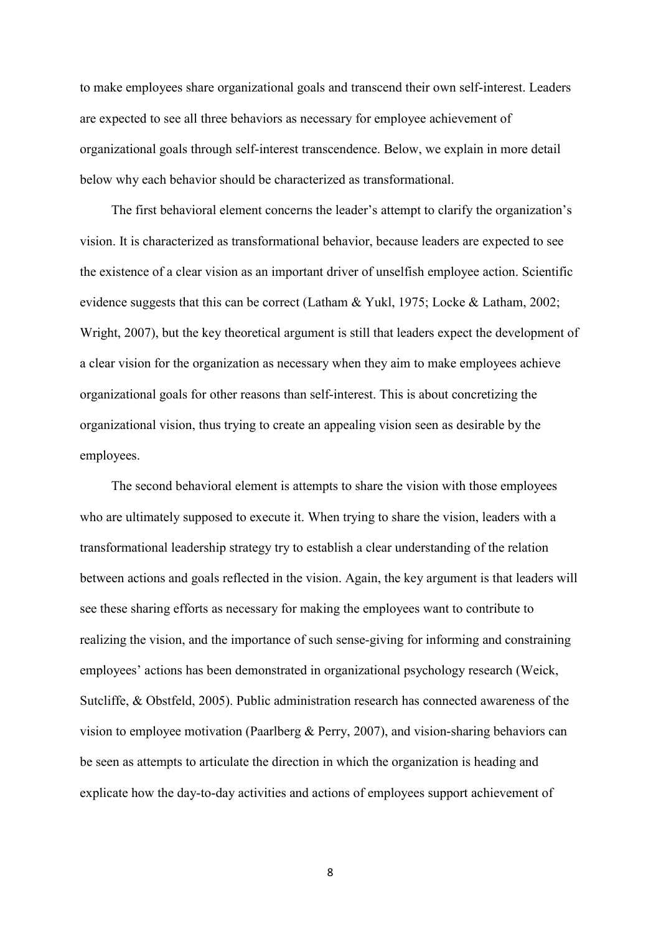to make employees share organizational goals and transcend their own self-interest. Leaders are expected to see all three behaviors as necessary for employee achievement of organizational goals through self-interest transcendence. Below, we explain in more detail below why each behavior should be characterized as transformational.

The first behavioral element concerns the leader's attempt to clarify the organization's vision. It is characterized as transformational behavior, because leaders are expected to see the existence of a clear vision as an important driver of unselfish employee action. Scientific evidence suggests that this can be correct (Latham & Yukl, 1975; Locke & Latham, 2002; Wright, 2007), but the key theoretical argument is still that leaders expect the development of a clear vision for the organization as necessary when they aim to make employees achieve organizational goals for other reasons than self-interest. This is about concretizing the organizational vision, thus trying to create an appealing vision seen as desirable by the employees.

The second behavioral element is attempts to share the vision with those employees who are ultimately supposed to execute it. When trying to share the vision, leaders with a transformational leadership strategy try to establish a clear understanding of the relation between actions and goals reflected in the vision. Again, the key argument is that leaders will see these sharing efforts as necessary for making the employees want to contribute to realizing the vision, and the importance of such sense-giving for informing and constraining employees' actions has been demonstrated in organizational psychology research (Weick, Sutcliffe, & Obstfeld, 2005). Public administration research has connected awareness of the vision to employee motivation (Paarlberg & Perry, 2007), and vision-sharing behaviors can be seen as attempts to articulate the direction in which the organization is heading and explicate how the day-to-day activities and actions of employees support achievement of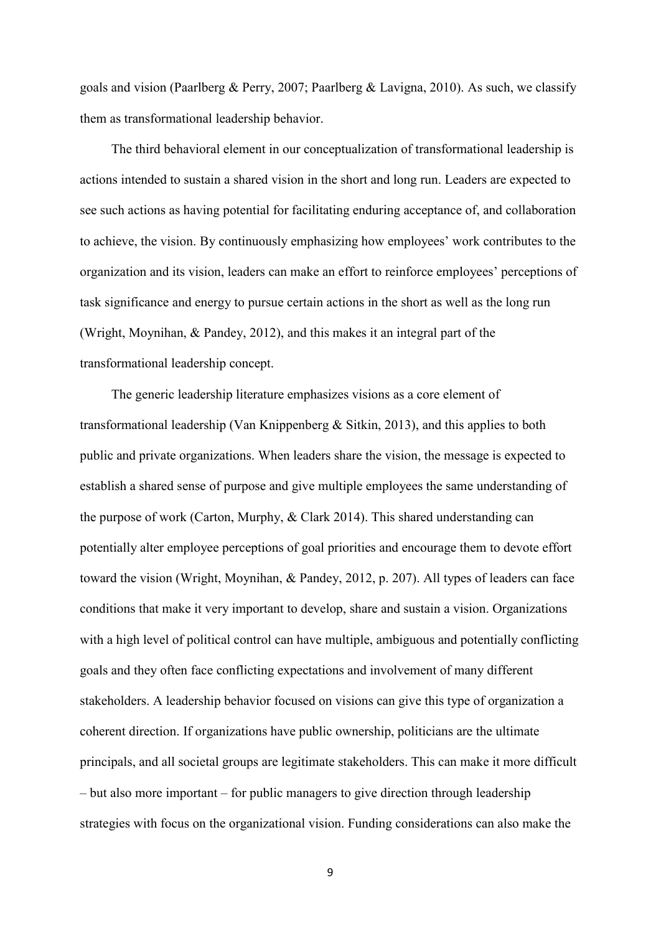goals and vision (Paarlberg & Perry, 2007; Paarlberg & Lavigna, 2010). As such, we classify them as transformational leadership behavior.

The third behavioral element in our conceptualization of transformational leadership is actions intended to sustain a shared vision in the short and long run. Leaders are expected to see such actions as having potential for facilitating enduring acceptance of, and collaboration to achieve, the vision. By continuously emphasizing how employees' work contributes to the organization and its vision, leaders can make an effort to reinforce employees' perceptions of task significance and energy to pursue certain actions in the short as well as the long run (Wright, Moynihan, & Pandey, 2012), and this makes it an integral part of the transformational leadership concept.

The generic leadership literature emphasizes visions as a core element of transformational leadership (Van Knippenberg & Sitkin, 2013), and this applies to both public and private organizations. When leaders share the vision, the message is expected to establish a shared sense of purpose and give multiple employees the same understanding of the purpose of work (Carton, Murphy, & Clark 2014). This shared understanding can potentially alter employee perceptions of goal priorities and encourage them to devote effort toward the vision (Wright, Moynihan, & Pandey, 2012, p. 207). All types of leaders can face conditions that make it very important to develop, share and sustain a vision. Organizations with a high level of political control can have multiple, ambiguous and potentially conflicting goals and they often face conflicting expectations and involvement of many different stakeholders. A leadership behavior focused on visions can give this type of organization a coherent direction. If organizations have public ownership, politicians are the ultimate principals, and all societal groups are legitimate stakeholders. This can make it more difficult – but also more important – for public managers to give direction through leadership strategies with focus on the organizational vision. Funding considerations can also make the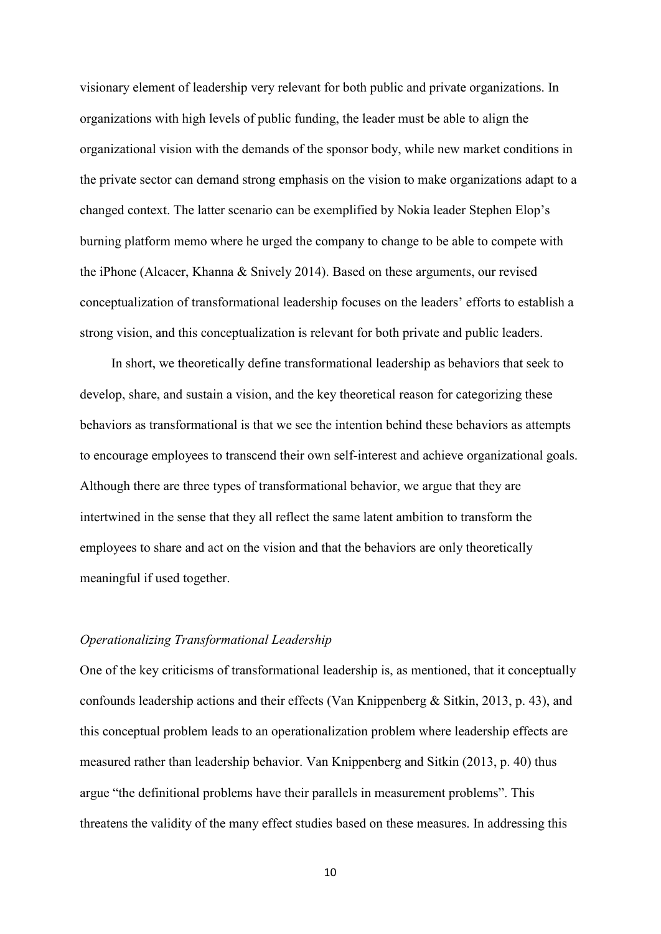visionary element of leadership very relevant for both public and private organizations. In organizations with high levels of public funding, the leader must be able to align the organizational vision with the demands of the sponsor body, while new market conditions in the private sector can demand strong emphasis on the vision to make organizations adapt to a changed context. The latter scenario can be exemplified by Nokia leader Stephen Elop's burning platform memo where he urged the company to change to be able to compete with the iPhone (Alcacer, Khanna & Snively 2014). Based on these arguments, our revised conceptualization of transformational leadership focuses on the leaders' efforts to establish a strong vision, and this conceptualization is relevant for both private and public leaders.

In short, we theoretically define transformational leadership as behaviors that seek to develop, share, and sustain a vision, and the key theoretical reason for categorizing these behaviors as transformational is that we see the intention behind these behaviors as attempts to encourage employees to transcend their own self-interest and achieve organizational goals. Although there are three types of transformational behavior, we argue that they are intertwined in the sense that they all reflect the same latent ambition to transform the employees to share and act on the vision and that the behaviors are only theoretically meaningful if used together.

#### *Operationalizing Transformational Leadership*

One of the key criticisms of transformational leadership is, as mentioned, that it conceptually confounds leadership actions and their effects (Van Knippenberg & Sitkin, 2013, p. 43), and this conceptual problem leads to an operationalization problem where leadership effects are measured rather than leadership behavior. Van Knippenberg and Sitkin (2013, p. 40) thus argue "the definitional problems have their parallels in measurement problems". This threatens the validity of the many effect studies based on these measures. In addressing this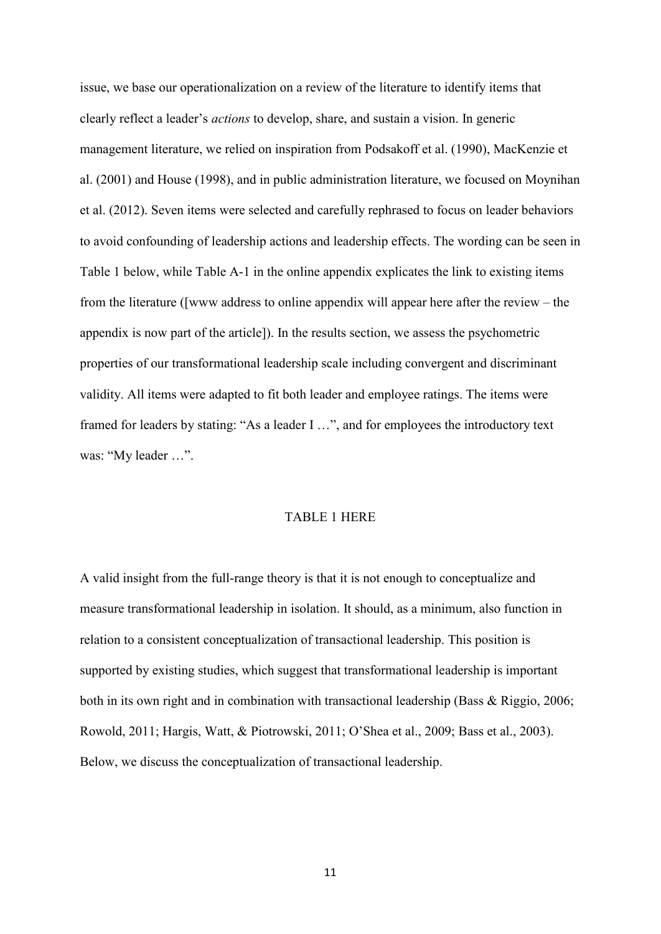issue, we base our operationalization on a review of the literature to identify items that clearly reflect a leader's *actions* to develop, share, and sustain a vision. In generic management literature, we relied on inspiration from Podsakoff et al. (1990), MacKenzie et al. (2001) and House (1998), and in public administration literature, we focused on Moynihan et al. (2012). Seven items were selected and carefully rephrased to focus on leader behaviors to avoid confounding of leadership actions and leadership effects. The wording can be seen in Table 1 below, while Table A-1 in the online appendix explicates the link to existing items from the literature ([www address to online appendix will appear here after the review – the appendix is now part of the article]). In the results section, we assess the psychometric properties of our transformational leadership scale including convergent and discriminant validity. All items were adapted to fit both leader and employee ratings. The items were framed for leaders by stating: "As a leader I …", and for employees the introductory text was: "My leader ...".

#### TABLE 1 HERE

A valid insight from the full-range theory is that it is not enough to conceptualize and measure transformational leadership in isolation. It should, as a minimum, also function in relation to a consistent conceptualization of transactional leadership. This position is supported by existing studies, which suggest that transformational leadership is important both in its own right and in combination with transactional leadership (Bass & Riggio, 2006; Rowold, 2011; Hargis, Watt, & Piotrowski, 2011; O'Shea et al., 2009; Bass et al., 2003). Below, we discuss the conceptualization of transactional leadership.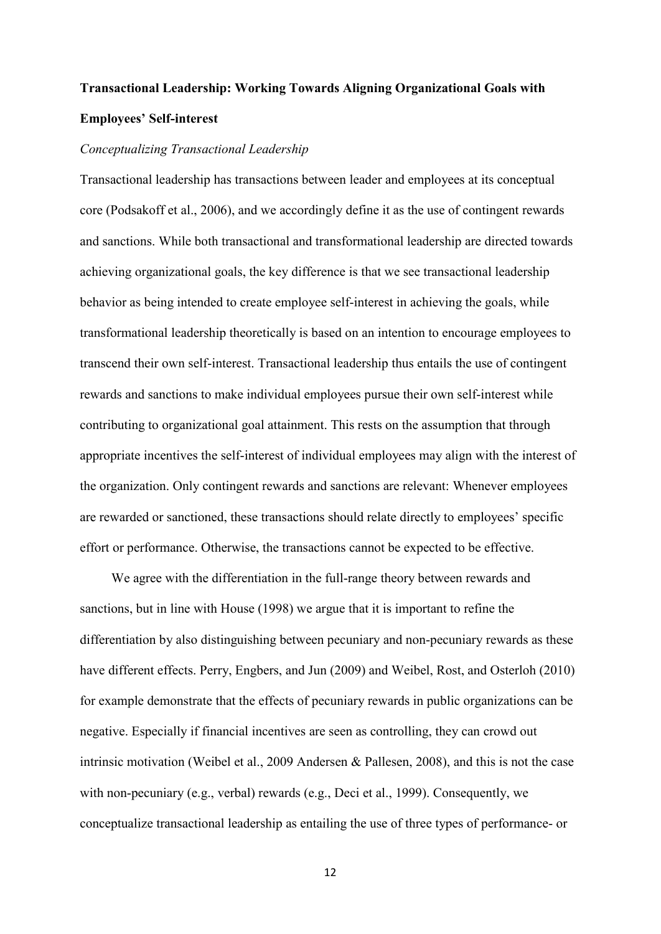# **Transactional Leadership: Working Towards Aligning Organizational Goals with Employees' Self-interest**

#### *Conceptualizing Transactional Leadership*

Transactional leadership has transactions between leader and employees at its conceptual core (Podsakoff et al., 2006), and we accordingly define it as the use of contingent rewards and sanctions. While both transactional and transformational leadership are directed towards achieving organizational goals, the key difference is that we see transactional leadership behavior as being intended to create employee self-interest in achieving the goals, while transformational leadership theoretically is based on an intention to encourage employees to transcend their own self-interest. Transactional leadership thus entails the use of contingent rewards and sanctions to make individual employees pursue their own self-interest while contributing to organizational goal attainment. This rests on the assumption that through appropriate incentives the self-interest of individual employees may align with the interest of the organization. Only contingent rewards and sanctions are relevant: Whenever employees are rewarded or sanctioned, these transactions should relate directly to employees' specific effort or performance. Otherwise, the transactions cannot be expected to be effective.

We agree with the differentiation in the full-range theory between rewards and sanctions, but in line with House (1998) we argue that it is important to refine the differentiation by also distinguishing between pecuniary and non-pecuniary rewards as these have different effects. Perry, Engbers, and Jun (2009) and Weibel, Rost, and Osterloh (2010) for example demonstrate that the effects of pecuniary rewards in public organizations can be negative. Especially if financial incentives are seen as controlling, they can crowd out intrinsic motivation (Weibel et al., 2009 Andersen & Pallesen, 2008), and this is not the case with non-pecuniary (e.g., verbal) rewards (e.g., Deci et al., 1999). Consequently, we conceptualize transactional leadership as entailing the use of three types of performance- or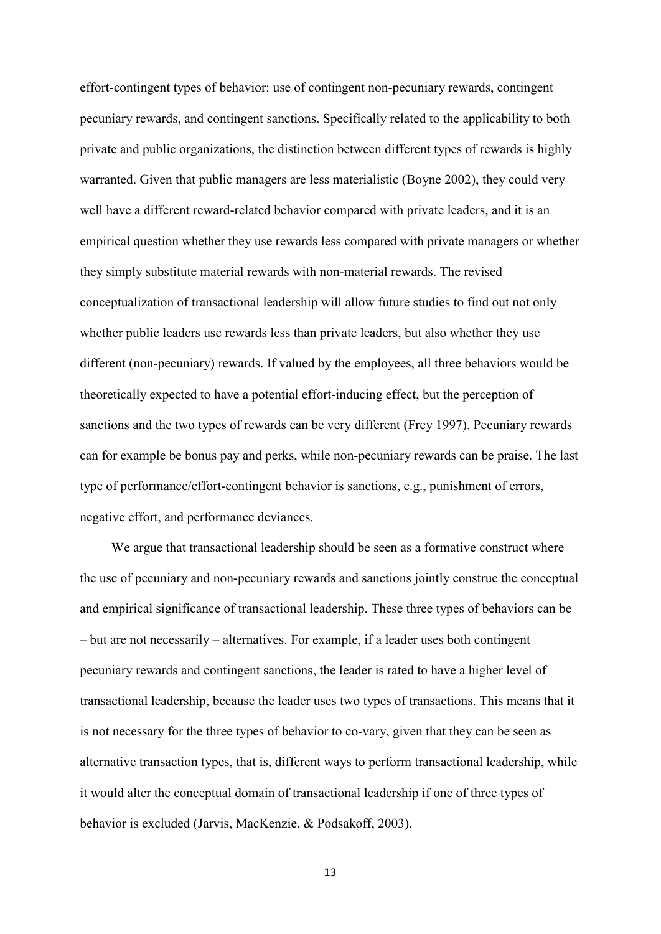effort-contingent types of behavior: use of contingent non-pecuniary rewards, contingent pecuniary rewards, and contingent sanctions. Specifically related to the applicability to both private and public organizations, the distinction between different types of rewards is highly warranted. Given that public managers are less materialistic (Boyne 2002), they could very well have a different reward-related behavior compared with private leaders, and it is an empirical question whether they use rewards less compared with private managers or whether they simply substitute material rewards with non-material rewards. The revised conceptualization of transactional leadership will allow future studies to find out not only whether public leaders use rewards less than private leaders, but also whether they use different (non-pecuniary) rewards. If valued by the employees, all three behaviors would be theoretically expected to have a potential effort-inducing effect, but the perception of sanctions and the two types of rewards can be very different (Frey 1997). Pecuniary rewards can for example be bonus pay and perks, while non-pecuniary rewards can be praise. The last type of performance/effort-contingent behavior is sanctions, e.g., punishment of errors, negative effort, and performance deviances.

We argue that transactional leadership should be seen as a formative construct where the use of pecuniary and non-pecuniary rewards and sanctions jointly construe the conceptual and empirical significance of transactional leadership. These three types of behaviors can be – but are not necessarily – alternatives. For example, if a leader uses both contingent pecuniary rewards and contingent sanctions, the leader is rated to have a higher level of transactional leadership, because the leader uses two types of transactions. This means that it is not necessary for the three types of behavior to co-vary, given that they can be seen as alternative transaction types, that is, different ways to perform transactional leadership, while it would alter the conceptual domain of transactional leadership if one of three types of behavior is excluded (Jarvis, MacKenzie, & Podsakoff, 2003).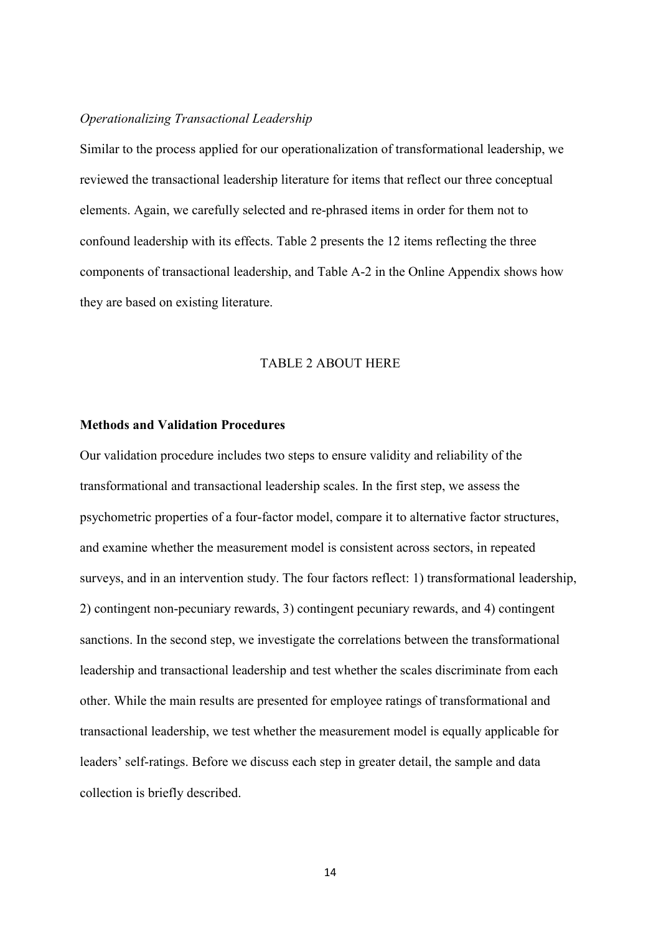#### *Operationalizing Transactional Leadership*

Similar to the process applied for our operationalization of transformational leadership, we reviewed the transactional leadership literature for items that reflect our three conceptual elements. Again, we carefully selected and re-phrased items in order for them not to confound leadership with its effects. Table 2 presents the 12 items reflecting the three components of transactional leadership, and Table A-2 in the Online Appendix shows how they are based on existing literature.

#### TABLE 2 ABOUT HERE

#### **Methods and Validation Procedures**

Our validation procedure includes two steps to ensure validity and reliability of the transformational and transactional leadership scales. In the first step, we assess the psychometric properties of a four-factor model, compare it to alternative factor structures, and examine whether the measurement model is consistent across sectors, in repeated surveys, and in an intervention study. The four factors reflect: 1) transformational leadership, 2) contingent non-pecuniary rewards, 3) contingent pecuniary rewards, and 4) contingent sanctions. In the second step, we investigate the correlations between the transformational leadership and transactional leadership and test whether the scales discriminate from each other. While the main results are presented for employee ratings of transformational and transactional leadership, we test whether the measurement model is equally applicable for leaders' self-ratings. Before we discuss each step in greater detail, the sample and data collection is briefly described.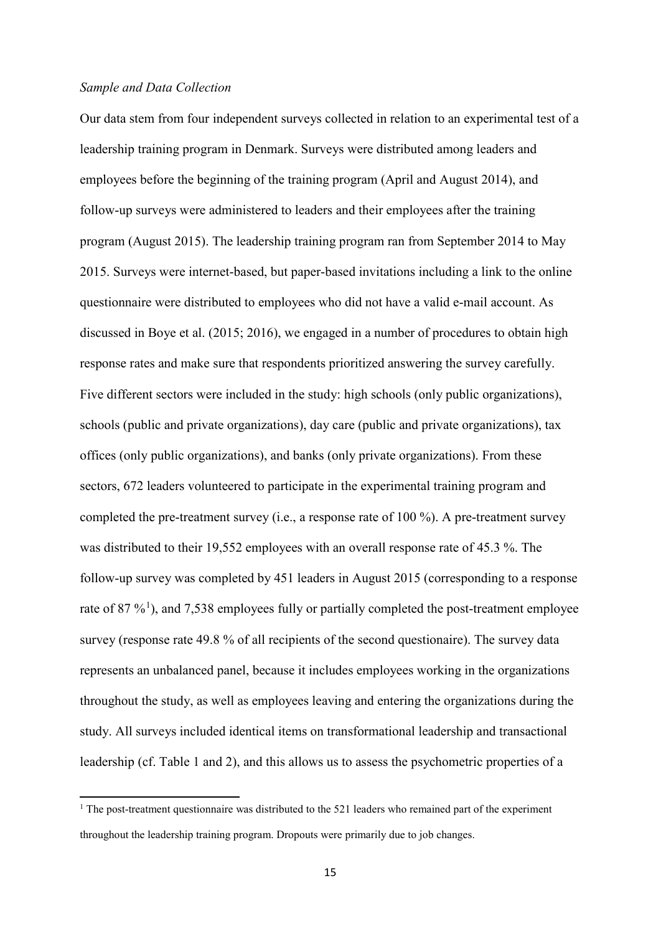#### *Sample and Data Collection*

l

Our data stem from four independent surveys collected in relation to an experimental test of a leadership training program in Denmark. Surveys were distributed among leaders and employees before the beginning of the training program (April and August 2014), and follow-up surveys were administered to leaders and their employees after the training program (August 2015). The leadership training program ran from September 2014 to May 2015. Surveys were internet-based, but paper-based invitations including a link to the online questionnaire were distributed to employees who did not have a valid e-mail account. As discussed in Boye et al. (2015; 2016), we engaged in a number of procedures to obtain high response rates and make sure that respondents prioritized answering the survey carefully. Five different sectors were included in the study: high schools (only public organizations), schools (public and private organizations), day care (public and private organizations), tax offices (only public organizations), and banks (only private organizations). From these sectors, 672 leaders volunteered to participate in the experimental training program and completed the pre-treatment survey (i.e., a response rate of 100 %). A pre-treatment survey was distributed to their 19,552 employees with an overall response rate of 45.3 %. The follow-up survey was completed by 451 leaders in August 2015 (corresponding to a response rate of 87  $\%$ <sup>[1](#page-15-0)</sup>), and 7,538 employees fully or partially completed the post-treatment employee survey (response rate 49.8 % of all recipients of the second questionaire). The survey data represents an unbalanced panel, because it includes employees working in the organizations throughout the study, as well as employees leaving and entering the organizations during the study. All surveys included identical items on transformational leadership and transactional leadership (cf. Table 1 and 2), and this allows us to assess the psychometric properties of a

<span id="page-15-0"></span><sup>&</sup>lt;sup>1</sup> The post-treatment questionnaire was distributed to the 521 leaders who remained part of the experiment throughout the leadership training program. Dropouts were primarily due to job changes.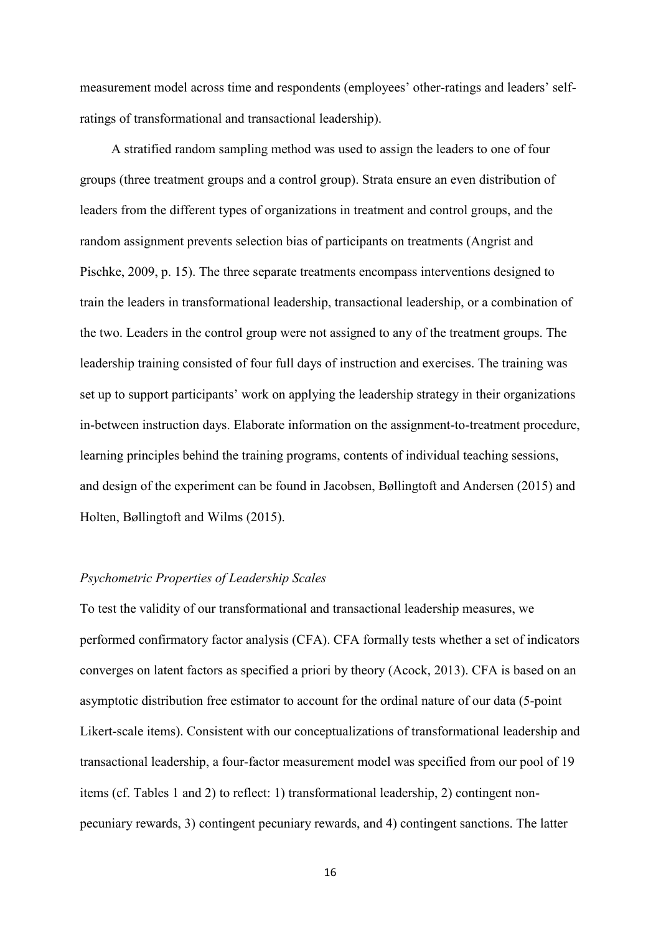measurement model across time and respondents (employees' other-ratings and leaders' selfratings of transformational and transactional leadership).

A stratified random sampling method was used to assign the leaders to one of four groups (three treatment groups and a control group). Strata ensure an even distribution of leaders from the different types of organizations in treatment and control groups, and the random assignment prevents selection bias of participants on treatments (Angrist and Pischke, 2009, p. 15). The three separate treatments encompass interventions designed to train the leaders in transformational leadership, transactional leadership, or a combination of the two. Leaders in the control group were not assigned to any of the treatment groups. The leadership training consisted of four full days of instruction and exercises. The training was set up to support participants' work on applying the leadership strategy in their organizations in-between instruction days. Elaborate information on the assignment-to-treatment procedure, learning principles behind the training programs, contents of individual teaching sessions, and design of the experiment can be found in Jacobsen, Bøllingtoft and Andersen (2015) and Holten, Bøllingtoft and Wilms (2015).

#### *Psychometric Properties of Leadership Scales*

To test the validity of our transformational and transactional leadership measures, we performed confirmatory factor analysis (CFA). CFA formally tests whether a set of indicators converges on latent factors as specified a priori by theory (Acock, 2013). CFA is based on an asymptotic distribution free estimator to account for the ordinal nature of our data (5-point Likert-scale items). Consistent with our conceptualizations of transformational leadership and transactional leadership, a four-factor measurement model was specified from our pool of 19 items (cf. Tables 1 and 2) to reflect: 1) transformational leadership, 2) contingent nonpecuniary rewards, 3) contingent pecuniary rewards, and 4) contingent sanctions. The latter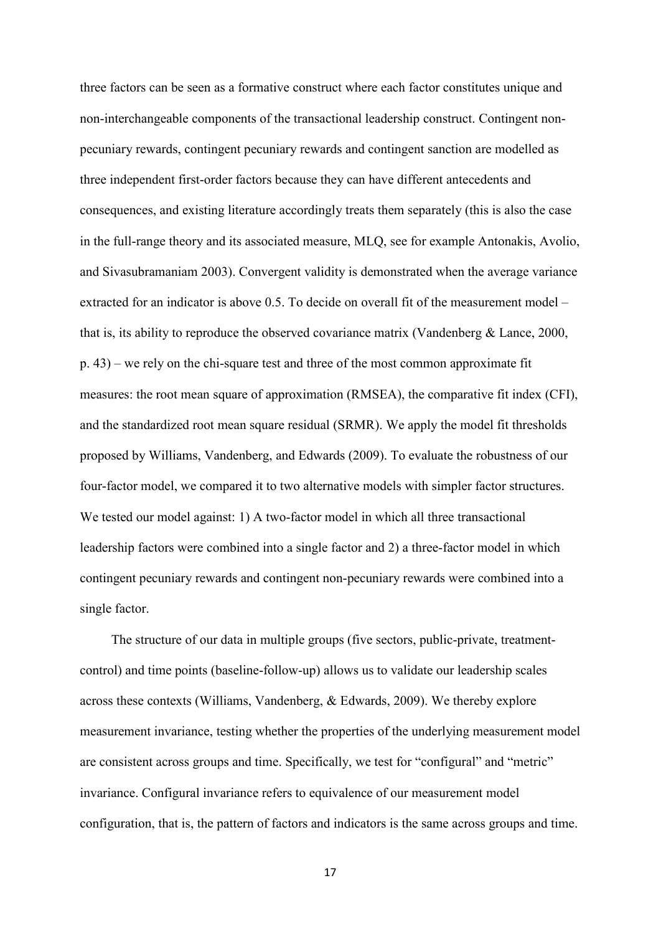three factors can be seen as a formative construct where each factor constitutes unique and non-interchangeable components of the transactional leadership construct. Contingent nonpecuniary rewards, contingent pecuniary rewards and contingent sanction are modelled as three independent first-order factors because they can have different antecedents and consequences, and existing literature accordingly treats them separately (this is also the case in the full-range theory and its associated measure, MLQ, see for example Antonakis, Avolio, and Sivasubramaniam 2003). Convergent validity is demonstrated when the average variance extracted for an indicator is above 0.5. To decide on overall fit of the measurement model – that is, its ability to reproduce the observed covariance matrix (Vandenberg & Lance, 2000, p. 43) – we rely on the chi-square test and three of the most common approximate fit measures: the root mean square of approximation (RMSEA), the comparative fit index (CFI), and the standardized root mean square residual (SRMR). We apply the model fit thresholds proposed by Williams, Vandenberg, and Edwards (2009). To evaluate the robustness of our four-factor model, we compared it to two alternative models with simpler factor structures. We tested our model against: 1) A two-factor model in which all three transactional leadership factors were combined into a single factor and 2) a three-factor model in which contingent pecuniary rewards and contingent non-pecuniary rewards were combined into a single factor.

The structure of our data in multiple groups (five sectors, public-private, treatmentcontrol) and time points (baseline-follow-up) allows us to validate our leadership scales across these contexts (Williams, Vandenberg, & Edwards, 2009). We thereby explore measurement invariance, testing whether the properties of the underlying measurement model are consistent across groups and time. Specifically, we test for "configural" and "metric" invariance. Configural invariance refers to equivalence of our measurement model configuration, that is, the pattern of factors and indicators is the same across groups and time.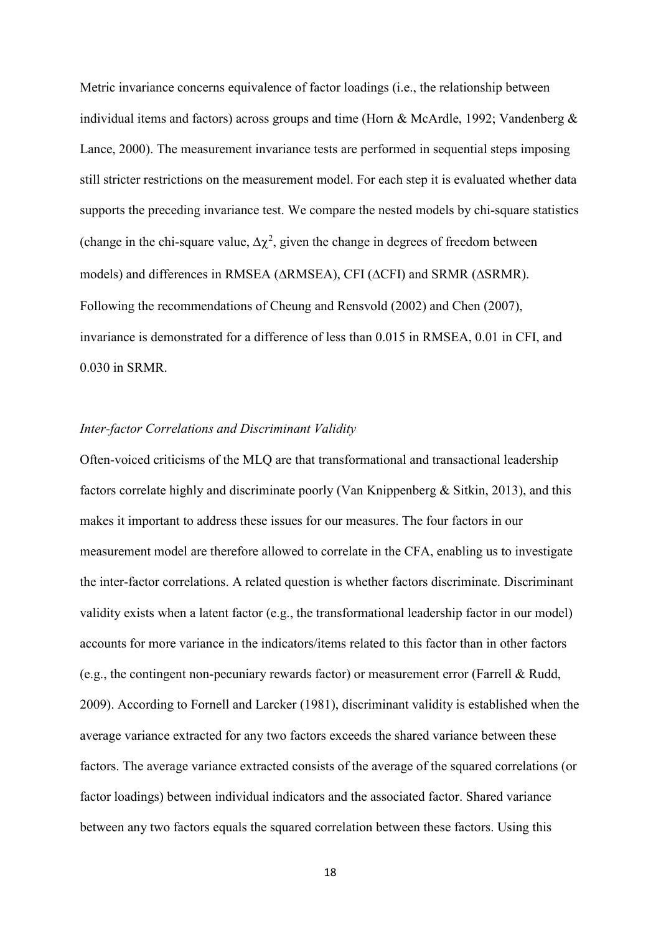Metric invariance concerns equivalence of factor loadings (i.e., the relationship between individual items and factors) across groups and time (Horn & McArdle, 1992; Vandenberg & Lance, 2000). The measurement invariance tests are performed in sequential steps imposing still stricter restrictions on the measurement model. For each step it is evaluated whether data supports the preceding invariance test. We compare the nested models by chi-square statistics (change in the chi-square value,  $\Delta \chi^2$ , given the change in degrees of freedom between models) and differences in RMSEA (∆RMSEA), CFI (∆CFI) and SRMR (∆SRMR). Following the recommendations of Cheung and Rensvold (2002) and Chen (2007), invariance is demonstrated for a difference of less than 0.015 in RMSEA, 0.01 in CFI, and 0.030 in SRMR.

#### *Inter-factor Correlations and Discriminant Validity*

Often-voiced criticisms of the MLQ are that transformational and transactional leadership factors correlate highly and discriminate poorly (Van Knippenberg & Sitkin, 2013), and this makes it important to address these issues for our measures. The four factors in our measurement model are therefore allowed to correlate in the CFA, enabling us to investigate the inter-factor correlations. A related question is whether factors discriminate. Discriminant validity exists when a latent factor (e.g., the transformational leadership factor in our model) accounts for more variance in the indicators/items related to this factor than in other factors (e.g., the contingent non-pecuniary rewards factor) or measurement error (Farrell & Rudd, 2009). According to Fornell and Larcker (1981), discriminant validity is established when the average variance extracted for any two factors exceeds the shared variance between these factors. The average variance extracted consists of the average of the squared correlations (or factor loadings) between individual indicators and the associated factor. Shared variance between any two factors equals the squared correlation between these factors. Using this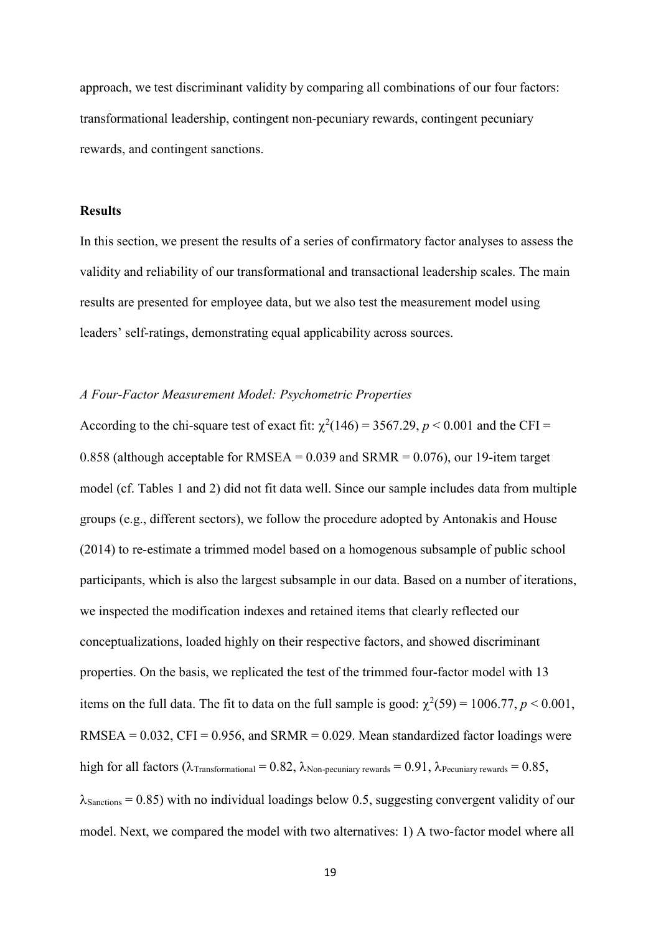approach, we test discriminant validity by comparing all combinations of our four factors: transformational leadership, contingent non-pecuniary rewards, contingent pecuniary rewards, and contingent sanctions.

### **Results**

In this section, we present the results of a series of confirmatory factor analyses to assess the validity and reliability of our transformational and transactional leadership scales. The main results are presented for employee data, but we also test the measurement model using leaders' self-ratings, demonstrating equal applicability across sources.

#### *A Four-Factor Measurement Model: Psychometric Properties*

According to the chi-square test of exact fit:  $\chi^2(146) = 3567.29, p < 0.001$  and the CFI = 0.858 (although acceptable for RMSEA =  $0.039$  and SRMR =  $0.076$ ), our 19-item target model (cf. Tables 1 and 2) did not fit data well. Since our sample includes data from multiple groups (e.g., different sectors), we follow the procedure adopted by Antonakis and House (2014) to re-estimate a trimmed model based on a homogenous subsample of public school participants, which is also the largest subsample in our data. Based on a number of iterations, we inspected the modification indexes and retained items that clearly reflected our conceptualizations, loaded highly on their respective factors, and showed discriminant properties. On the basis, we replicated the test of the trimmed four-factor model with 13 items on the full data. The fit to data on the full sample is good:  $\chi^2(59) = 1006.77$ ,  $p < 0.001$ ,  $RMSEA = 0.032$ ,  $CFI = 0.956$ , and  $SRMR = 0.029$ . Mean standardized factor loadings were high for all factors ( $\lambda$ Transformational = 0.82,  $\lambda$ Non-pecuniary rewards = 0.91,  $\lambda$ Pecuniary rewards = 0.85,  $\lambda$ Sanctions = 0.85) with no individual loadings below 0.5, suggesting convergent validity of our model. Next, we compared the model with two alternatives: 1) A two-factor model where all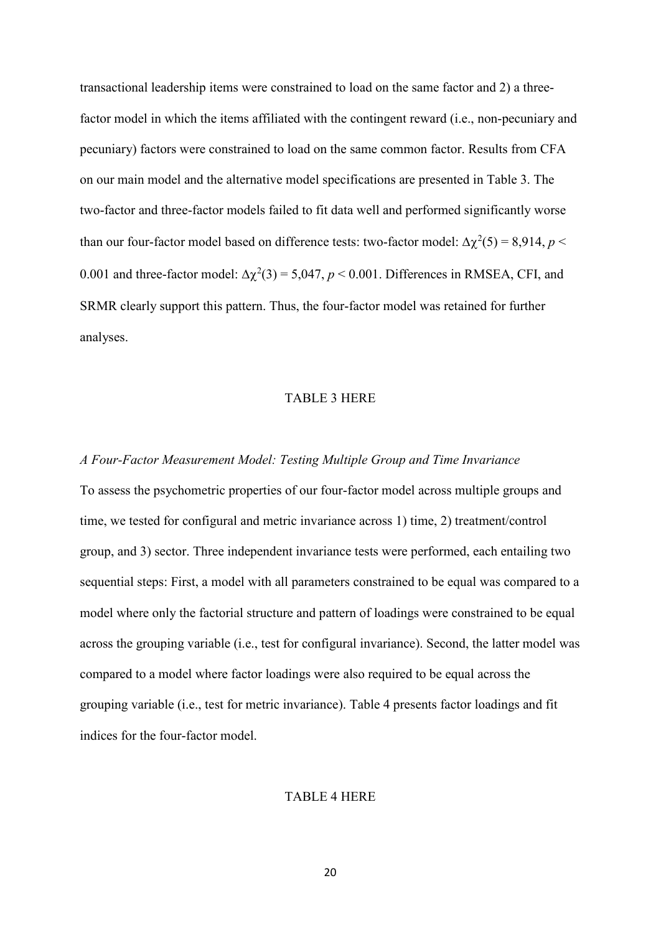transactional leadership items were constrained to load on the same factor and 2) a threefactor model in which the items affiliated with the contingent reward (i.e., non-pecuniary and pecuniary) factors were constrained to load on the same common factor. Results from CFA on our main model and the alternative model specifications are presented in Table 3. The two-factor and three-factor models failed to fit data well and performed significantly worse than our four-factor model based on difference tests: two-factor model:  $\Delta \chi^2(5) = 8.914$ ,  $p <$ 0.001 and three-factor model:  $\Delta \chi^2(3) = 5,047, p < 0.001$ . Differences in RMSEA, CFI, and SRMR clearly support this pattern. Thus, the four-factor model was retained for further analyses.

#### TABLE 3 HERE

# *A Four-Factor Measurement Model: Testing Multiple Group and Time Invariance*

To assess the psychometric properties of our four-factor model across multiple groups and time, we tested for configural and metric invariance across 1) time, 2) treatment/control group, and 3) sector. Three independent invariance tests were performed, each entailing two sequential steps: First, a model with all parameters constrained to be equal was compared to a model where only the factorial structure and pattern of loadings were constrained to be equal across the grouping variable (i.e., test for configural invariance). Second, the latter model was compared to a model where factor loadings were also required to be equal across the grouping variable (i.e., test for metric invariance). Table 4 presents factor loadings and fit indices for the four-factor model.

#### TABLE 4 HERE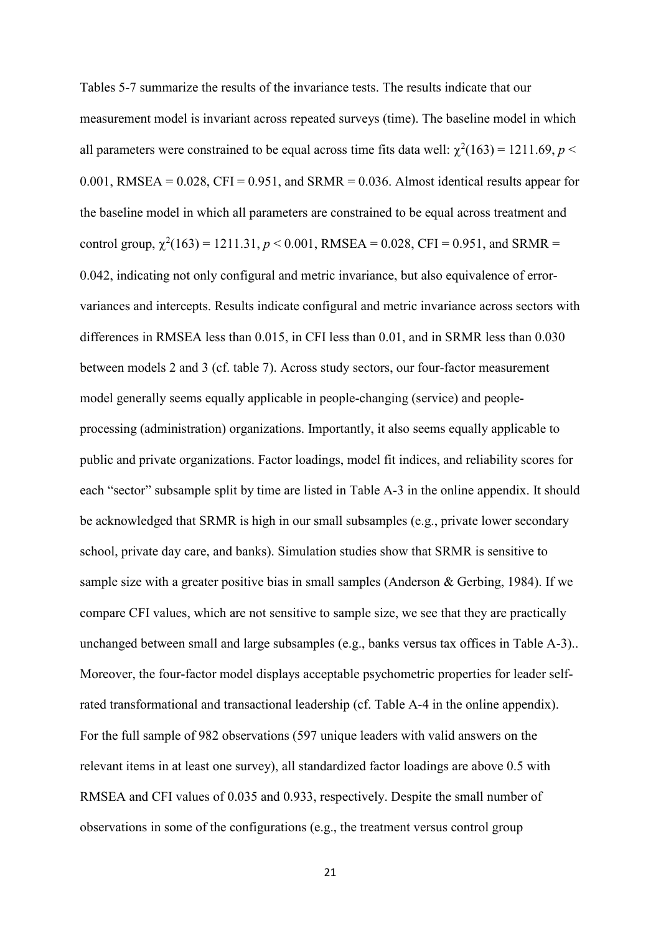Tables 5-7 summarize the results of the invariance tests. The results indicate that our measurement model is invariant across repeated surveys (time). The baseline model in which all parameters were constrained to be equal across time fits data well:  $\chi^2(163) = 1211.69, p <$  $0.001$ , RMSEA =  $0.028$ , CFI =  $0.951$ , and SRMR =  $0.036$ . Almost identical results appear for the baseline model in which all parameters are constrained to be equal across treatment and control group,  $\chi^2(163) = 1211.31, p < 0.001$ , RMSEA = 0.028, CFI = 0.951, and SRMR = 0.042, indicating not only configural and metric invariance, but also equivalence of errorvariances and intercepts. Results indicate configural and metric invariance across sectors with differences in RMSEA less than 0.015, in CFI less than 0.01, and in SRMR less than 0.030 between models 2 and 3 (cf. table 7). Across study sectors, our four-factor measurement model generally seems equally applicable in people-changing (service) and peopleprocessing (administration) organizations. Importantly, it also seems equally applicable to public and private organizations. Factor loadings, model fit indices, and reliability scores for each "sector" subsample split by time are listed in Table A-3 in the online appendix. It should be acknowledged that SRMR is high in our small subsamples (e.g., private lower secondary school, private day care, and banks). Simulation studies show that SRMR is sensitive to sample size with a greater positive bias in small samples (Anderson & Gerbing, 1984). If we compare CFI values, which are not sensitive to sample size, we see that they are practically unchanged between small and large subsamples (e.g., banks versus tax offices in Table A-3).. Moreover, the four-factor model displays acceptable psychometric properties for leader selfrated transformational and transactional leadership (cf. Table A-4 in the online appendix). For the full sample of 982 observations (597 unique leaders with valid answers on the relevant items in at least one survey), all standardized factor loadings are above 0.5 with RMSEA and CFI values of 0.035 and 0.933, respectively. Despite the small number of observations in some of the configurations (e.g., the treatment versus control group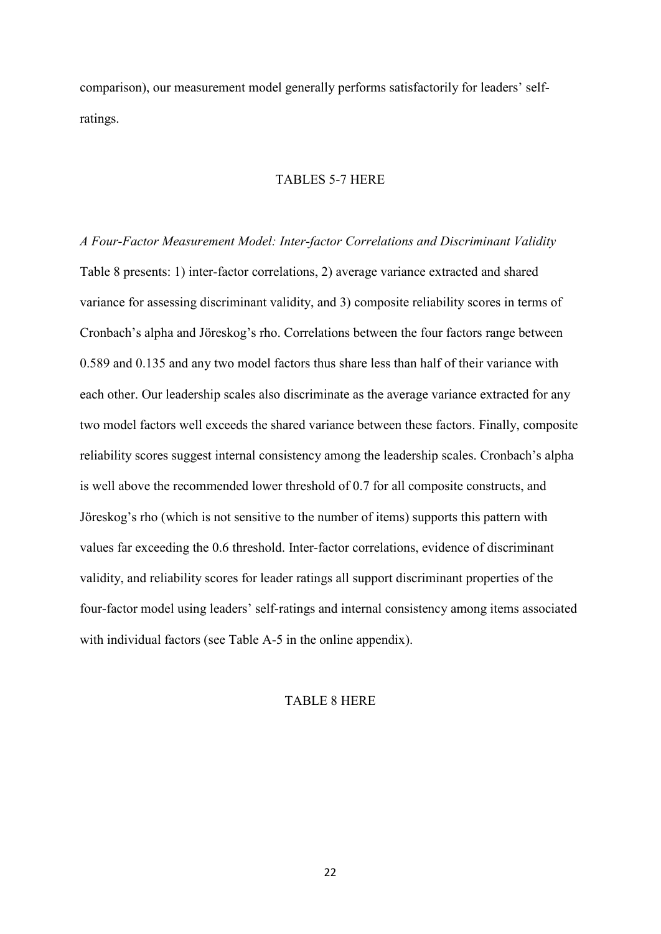comparison), our measurement model generally performs satisfactorily for leaders' selfratings.

#### TABLES 5-7 HERE

*A Four-Factor Measurement Model: Inter-factor Correlations and Discriminant Validity* Table 8 presents: 1) inter-factor correlations, 2) average variance extracted and shared variance for assessing discriminant validity, and 3) composite reliability scores in terms of Cronbach's alpha and Jöreskog's rho. Correlations between the four factors range between 0.589 and 0.135 and any two model factors thus share less than half of their variance with each other. Our leadership scales also discriminate as the average variance extracted for any two model factors well exceeds the shared variance between these factors. Finally, composite reliability scores suggest internal consistency among the leadership scales. Cronbach's alpha is well above the recommended lower threshold of 0.7 for all composite constructs, and Jöreskog's rho (which is not sensitive to the number of items) supports this pattern with values far exceeding the 0.6 threshold. Inter-factor correlations, evidence of discriminant validity, and reliability scores for leader ratings all support discriminant properties of the four-factor model using leaders' self-ratings and internal consistency among items associated with individual factors (see Table A-5 in the online appendix).

#### TABLE 8 HERE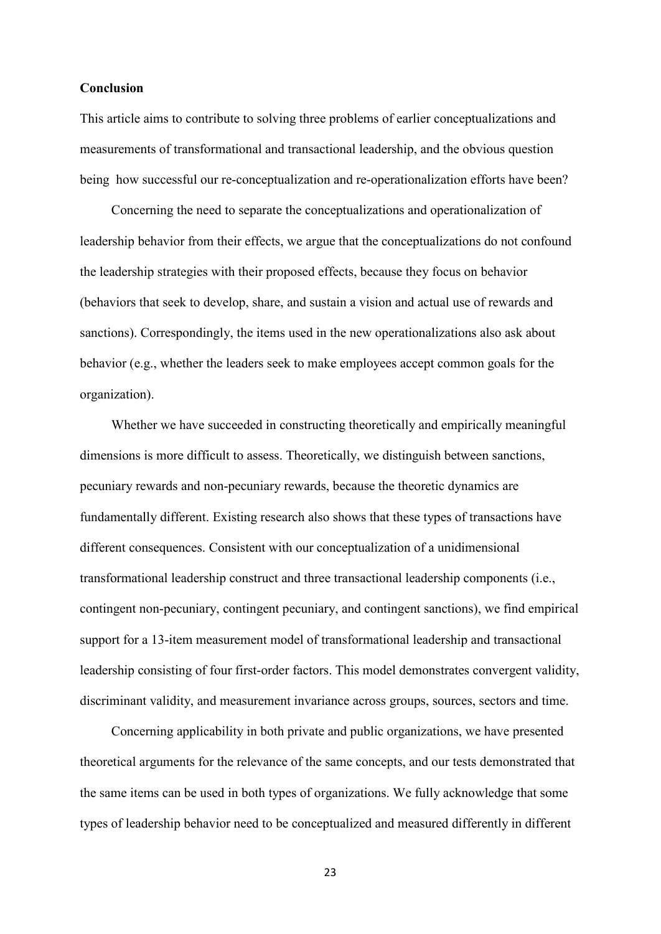#### **Conclusion**

This article aims to contribute to solving three problems of earlier conceptualizations and measurements of transformational and transactional leadership, and the obvious question being how successful our re-conceptualization and re-operationalization efforts have been?

Concerning the need to separate the conceptualizations and operationalization of leadership behavior from their effects, we argue that the conceptualizations do not confound the leadership strategies with their proposed effects, because they focus on behavior (behaviors that seek to develop, share, and sustain a vision and actual use of rewards and sanctions). Correspondingly, the items used in the new operationalizations also ask about behavior (e.g., whether the leaders seek to make employees accept common goals for the organization).

Whether we have succeeded in constructing theoretically and empirically meaningful dimensions is more difficult to assess. Theoretically, we distinguish between sanctions, pecuniary rewards and non-pecuniary rewards, because the theoretic dynamics are fundamentally different. Existing research also shows that these types of transactions have different consequences. Consistent with our conceptualization of a unidimensional transformational leadership construct and three transactional leadership components (i.e., contingent non-pecuniary, contingent pecuniary, and contingent sanctions), we find empirical support for a 13-item measurement model of transformational leadership and transactional leadership consisting of four first-order factors. This model demonstrates convergent validity, discriminant validity, and measurement invariance across groups, sources, sectors and time.

Concerning applicability in both private and public organizations, we have presented theoretical arguments for the relevance of the same concepts, and our tests demonstrated that the same items can be used in both types of organizations. We fully acknowledge that some types of leadership behavior need to be conceptualized and measured differently in different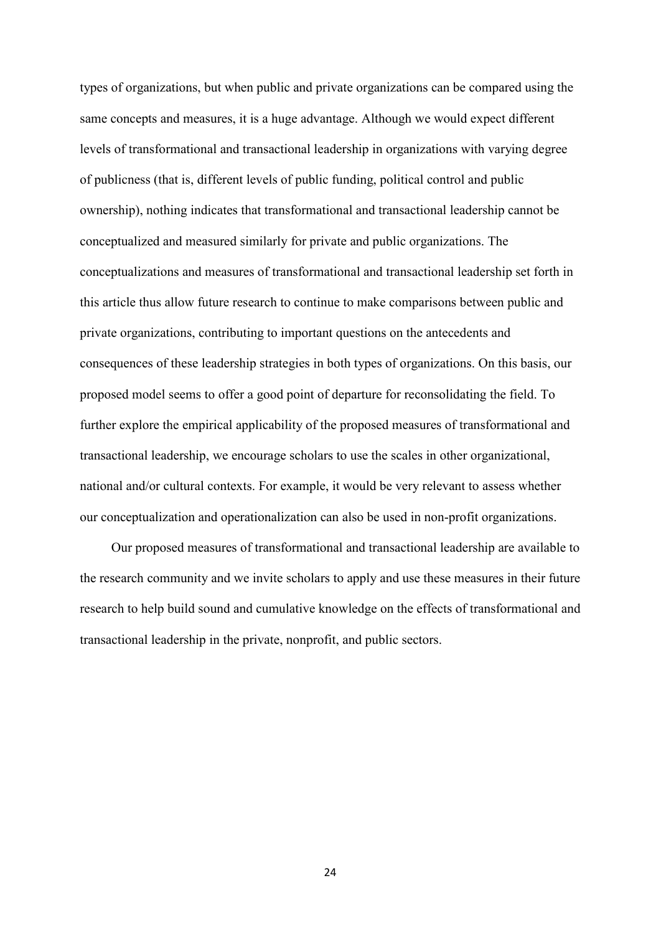types of organizations, but when public and private organizations can be compared using the same concepts and measures, it is a huge advantage. Although we would expect different levels of transformational and transactional leadership in organizations with varying degree of publicness (that is, different levels of public funding, political control and public ownership), nothing indicates that transformational and transactional leadership cannot be conceptualized and measured similarly for private and public organizations. The conceptualizations and measures of transformational and transactional leadership set forth in this article thus allow future research to continue to make comparisons between public and private organizations, contributing to important questions on the antecedents and consequences of these leadership strategies in both types of organizations. On this basis, our proposed model seems to offer a good point of departure for reconsolidating the field. To further explore the empirical applicability of the proposed measures of transformational and transactional leadership, we encourage scholars to use the scales in other organizational, national and/or cultural contexts. For example, it would be very relevant to assess whether our conceptualization and operationalization can also be used in non-profit organizations.

Our proposed measures of transformational and transactional leadership are available to the research community and we invite scholars to apply and use these measures in their future research to help build sound and cumulative knowledge on the effects of transformational and transactional leadership in the private, nonprofit, and public sectors.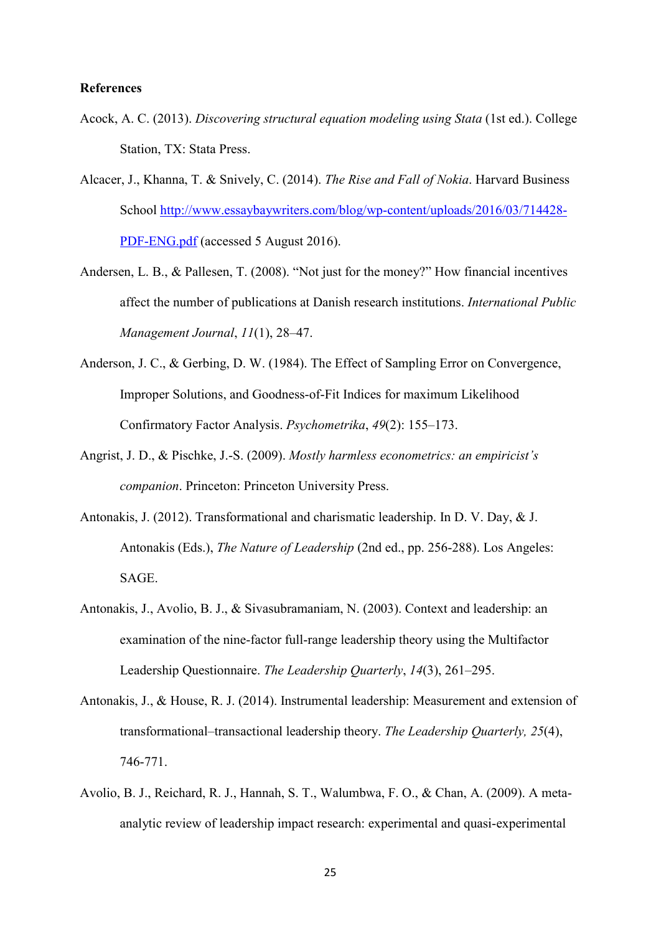#### **References**

- Acock, A. C. (2013). *Discovering structural equation modeling using Stata* (1st ed.). College Station, TX: Stata Press.
- Alcacer, J., Khanna, T. & Snively, C. (2014). *The Rise and Fall of Nokia*. Harvard Business School [http://www.essaybaywriters.com/blog/wp-content/uploads/2016/03/714428-](http://www.essaybaywriters.com/blog/wp-content/uploads/2016/03/714428-PDF-ENG.pdf) [PDF-ENG.pdf](http://www.essaybaywriters.com/blog/wp-content/uploads/2016/03/714428-PDF-ENG.pdf) (accessed 5 August 2016).
- Andersen, L. B., & Pallesen, T. (2008). "Not just for the money?" How financial incentives affect the number of publications at Danish research institutions. *International Public Management Journal*, *11*(1), 28–47.
- Anderson, J. C., & Gerbing, D. W. (1984). The Effect of Sampling Error on Convergence, Improper Solutions, and Goodness-of-Fit Indices for maximum Likelihood Confirmatory Factor Analysis. *Psychometrika*, *49*(2): 155–173.
- Angrist, J. D., & Pischke, J.-S. (2009). *Mostly harmless econometrics: an empiricist's companion*. Princeton: Princeton University Press.
- Antonakis, J. (2012). Transformational and charismatic leadership. In D. V. Day, & J. Antonakis (Eds.), *The Nature of Leadership* (2nd ed., pp. 256-288). Los Angeles: SAGE.
- Antonakis, J., Avolio, B. J., & Sivasubramaniam, N. (2003). Context and leadership: an examination of the nine-factor full-range leadership theory using the Multifactor Leadership Questionnaire. *The Leadership Quarterly*, *14*(3), 261–295.
- Antonakis, J., & House, R. J. (2014). Instrumental leadership: Measurement and extension of transformational–transactional leadership theory. *The Leadership Quarterly, 25*(4), 746-771.
- Avolio, B. J., Reichard, R. J., Hannah, S. T., Walumbwa, F. O., & Chan, A. (2009). A metaanalytic review of leadership impact research: experimental and quasi-experimental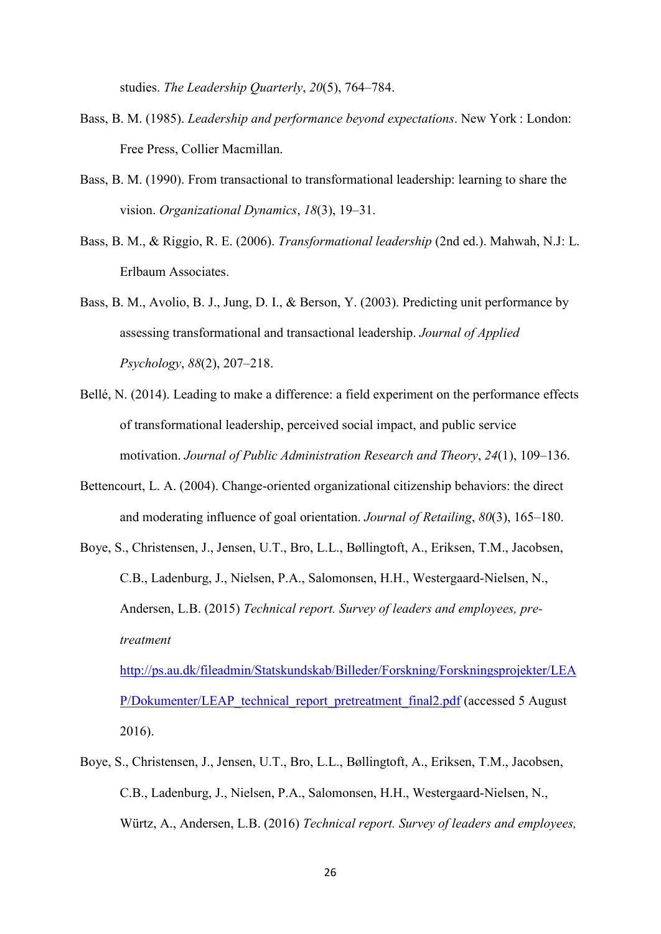studies. *The Leadership Quarterly*, *20*(5), 764–784.

- Bass, B. M. (1985). *Leadership and performance beyond expectations*. New York : London: Free Press, Collier Macmillan.
- Bass, B. M. (1990). From transactional to transformational leadership: learning to share the vision. *Organizational Dynamics*, *18*(3), 19–31.
- Bass, B. M., & Riggio, R. E. (2006). *Transformational leadership* (2nd ed.). Mahwah, N.J: L. Erlbaum Associates.
- Bass, B. M., Avolio, B. J., Jung, D. I., & Berson, Y. (2003). Predicting unit performance by assessing transformational and transactional leadership. *Journal of Applied Psychology*, *88*(2), 207–218.
- Bellé, N. (2014). Leading to make a difference: a field experiment on the performance effects of transformational leadership, perceived social impact, and public service motivation. *Journal of Public Administration Research and Theory*, *24*(1), 109–136.
- Bettencourt, L. A. (2004). Change-oriented organizational citizenship behaviors: the direct and moderating influence of goal orientation. *Journal of Retailing*, *80*(3), 165–180.
- Boye, S., Christensen, J., Jensen, U.T., Bro, L.L., Bøllingtoft, A., Eriksen, T.M., Jacobsen, C.B., Ladenburg, J., Nielsen, P.A., Salomonsen, H.H., Westergaard-Nielsen, N., Andersen, L.B. (2015) *Technical report. Survey of leaders and employees, pretreatment*

[http://ps.au.dk/fileadmin/Statskundskab/Billeder/Forskning/Forskningsprojekter/LEA](http://ps.au.dk/fileadmin/Statskundskab/Billeder/Forskning/Forskningsprojekter/LEAP/Dokumenter/LEAP_technical_report_pretreatment_final2.pdf) [P/Dokumenter/LEAP\\_technical\\_report\\_pretreatment\\_final2.pdf](http://ps.au.dk/fileadmin/Statskundskab/Billeder/Forskning/Forskningsprojekter/LEAP/Dokumenter/LEAP_technical_report_pretreatment_final2.pdf) (accessed 5 August) 2016).

Boye, S., Christensen, J., Jensen, U.T., Bro, L.L., Bøllingtoft, A., Eriksen, T.M., Jacobsen, C.B., Ladenburg, J., Nielsen, P.A., Salomonsen, H.H., Westergaard-Nielsen, N., Würtz, A., Andersen, L.B. (2016) *Technical report. Survey of leaders and employees,*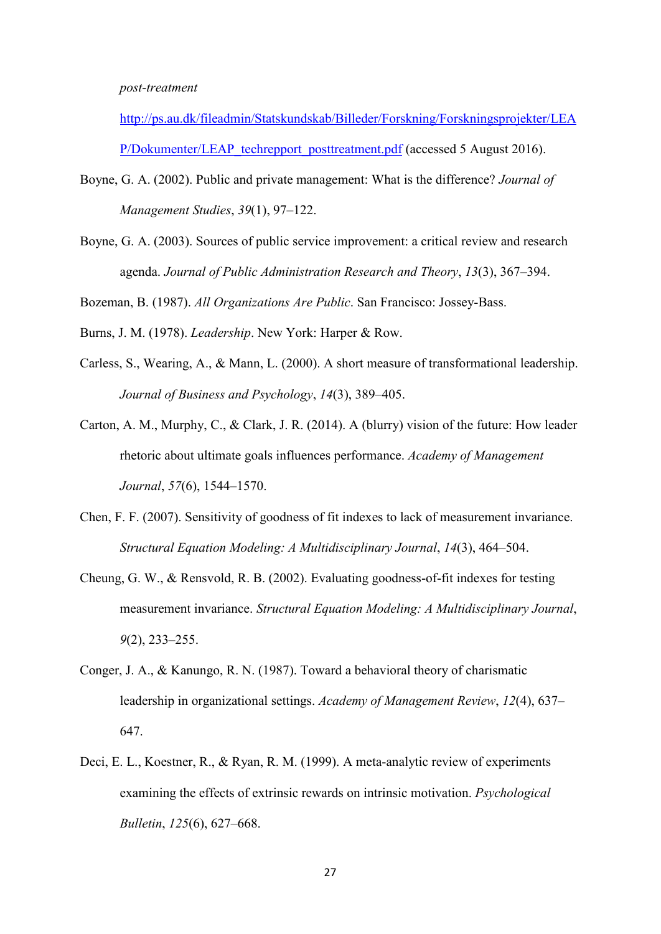#### *post-treatment*

[http://ps.au.dk/fileadmin/Statskundskab/Billeder/Forskning/Forskningsprojekter/LEA](http://ps.au.dk/fileadmin/Statskundskab/Billeder/Forskning/Forskningsprojekter/LEAP/Dokumenter/LEAP_techrepport_posttreatment.pdf) [P/Dokumenter/LEAP\\_techrepport\\_posttreatment.pdf](http://ps.au.dk/fileadmin/Statskundskab/Billeder/Forskning/Forskningsprojekter/LEAP/Dokumenter/LEAP_techrepport_posttreatment.pdf) (accessed 5 August 2016).

- Boyne, G. A. (2002). Public and private management: What is the difference? *Journal of Management Studies*, *39*(1), 97–122.
- Boyne, G. A. (2003). Sources of public service improvement: a critical review and research agenda. *Journal of Public Administration Research and Theory*, *13*(3), 367–394.

Bozeman, B. (1987). *All Organizations Are Public*. San Francisco: Jossey-Bass.

Burns, J. M. (1978). *Leadership*. New York: Harper & Row.

- Carless, S., Wearing, A., & Mann, L. (2000). A short measure of transformational leadership. *Journal of Business and Psychology*, *14*(3), 389–405.
- Carton, A. M., Murphy, C., & Clark, J. R. (2014). A (blurry) vision of the future: How leader rhetoric about ultimate goals influences performance. *Academy of Management Journal*, *57*(6), 1544–1570.
- Chen, F. F. (2007). Sensitivity of goodness of fit indexes to lack of measurement invariance. *Structural Equation Modeling: A Multidisciplinary Journal*, *14*(3), 464–504.
- Cheung, G. W., & Rensvold, R. B. (2002). Evaluating goodness-of-fit indexes for testing measurement invariance. *Structural Equation Modeling: A Multidisciplinary Journal*, *9*(2), 233–255.
- Conger, J. A., & Kanungo, R. N. (1987). Toward a behavioral theory of charismatic leadership in organizational settings. *Academy of Management Review*, *12*(4), 637– 647.
- Deci, E. L., Koestner, R., & Ryan, R. M. (1999). A meta-analytic review of experiments examining the effects of extrinsic rewards on intrinsic motivation. *Psychological Bulletin*, *125*(6), 627–668.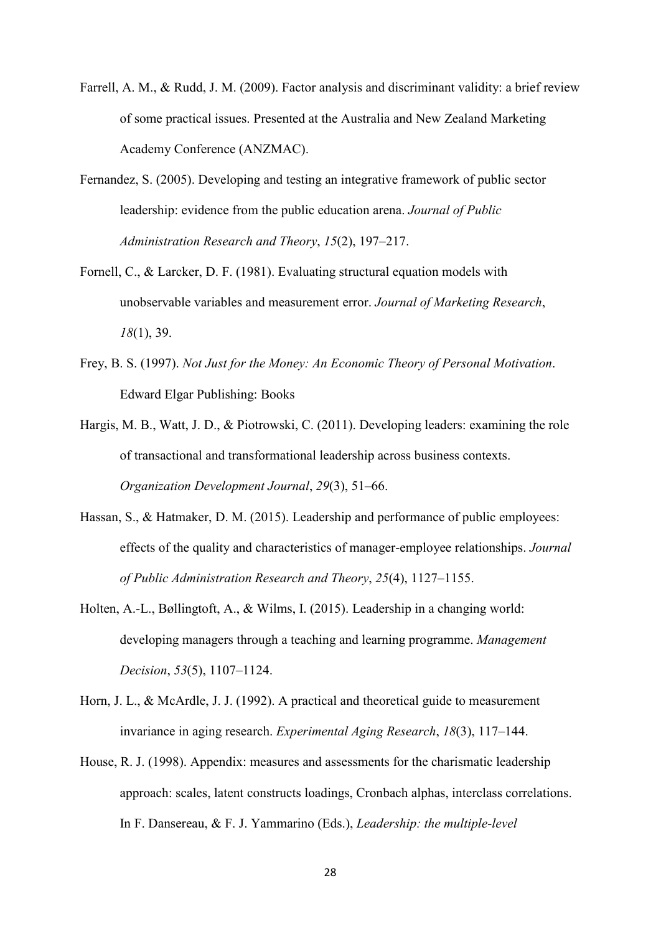- Farrell, A. M., & Rudd, J. M. (2009). Factor analysis and discriminant validity: a brief review of some practical issues. Presented at the Australia and New Zealand Marketing Academy Conference (ANZMAC).
- Fernandez, S. (2005). Developing and testing an integrative framework of public sector leadership: evidence from the public education arena. *Journal of Public Administration Research and Theory*, *15*(2), 197–217.
- Fornell, C., & Larcker, D. F. (1981). Evaluating structural equation models with unobservable variables and measurement error. *Journal of Marketing Research*, *18*(1), 39.
- Frey, B. S. (1997). *Not Just for the Money: An Economic Theory of Personal Motivation*. Edward Elgar Publishing: Books
- Hargis, M. B., Watt, J. D., & Piotrowski, C. (2011). Developing leaders: examining the role of transactional and transformational leadership across business contexts. *Organization Development Journal*, *29*(3), 51–66.
- Hassan, S., & Hatmaker, D. M. (2015). Leadership and performance of public employees: effects of the quality and characteristics of manager-employee relationships. *Journal of Public Administration Research and Theory*, *25*(4), 1127–1155.
- Holten, A.-L., Bøllingtoft, A., & Wilms, I. (2015). Leadership in a changing world: developing managers through a teaching and learning programme. *Management Decision*, *53*(5), 1107–1124.
- Horn, J. L., & McArdle, J. J. (1992). A practical and theoretical guide to measurement invariance in aging research. *Experimental Aging Research*, *18*(3), 117–144.
- House, R. J. (1998). Appendix: measures and assessments for the charismatic leadership approach: scales, latent constructs loadings, Cronbach alphas, interclass correlations. In F. Dansereau, & F. J. Yammarino (Eds.), *Leadership: the multiple-level*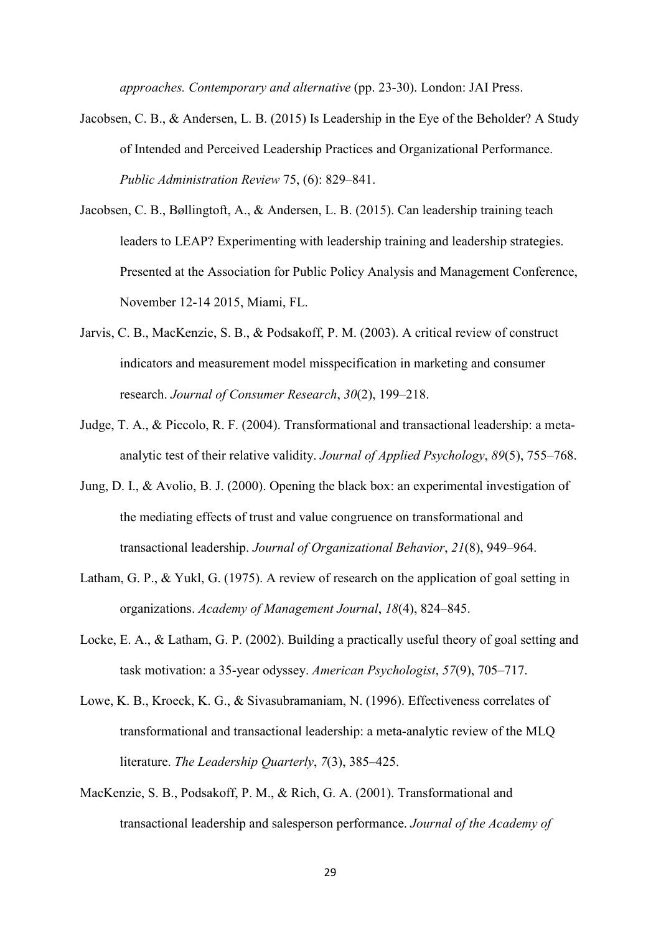*approaches. Contemporary and alternative* (pp. 23-30). London: JAI Press.

- Jacobsen, C. B., & Andersen, L. B. (2015) Is Leadership in the Eye of the Beholder? A Study of Intended and Perceived Leadership Practices and Organizational Performance. *Public Administration Review* 75, (6): 829–841.
- Jacobsen, C. B., Bøllingtoft, A., & Andersen, L. B. (2015). Can leadership training teach leaders to LEAP? Experimenting with leadership training and leadership strategies. Presented at the Association for Public Policy Analysis and Management Conference, November 12-14 2015, Miami, FL.
- Jarvis, C. B., MacKenzie, S. B., & Podsakoff, P. M. (2003). A critical review of construct indicators and measurement model misspecification in marketing and consumer research. *Journal of Consumer Research*, *30*(2), 199–218.
- Judge, T. A., & Piccolo, R. F. (2004). Transformational and transactional leadership: a metaanalytic test of their relative validity. *Journal of Applied Psychology*, *89*(5), 755–768.
- Jung, D. I., & Avolio, B. J. (2000). Opening the black box: an experimental investigation of the mediating effects of trust and value congruence on transformational and transactional leadership. *Journal of Organizational Behavior*, *21*(8), 949–964.
- Latham, G. P., & Yukl, G. (1975). A review of research on the application of goal setting in organizations. *Academy of Management Journal*, *18*(4), 824–845.
- Locke, E. A., & Latham, G. P. (2002). Building a practically useful theory of goal setting and task motivation: a 35-year odyssey. *American Psychologist*, *57*(9), 705–717.
- Lowe, K. B., Kroeck, K. G., & Sivasubramaniam, N. (1996). Effectiveness correlates of transformational and transactional leadership: a meta-analytic review of the MLQ literature. *The Leadership Quarterly*, *7*(3), 385–425.
- MacKenzie, S. B., Podsakoff, P. M., & Rich, G. A. (2001). Transformational and transactional leadership and salesperson performance. *Journal of the Academy of*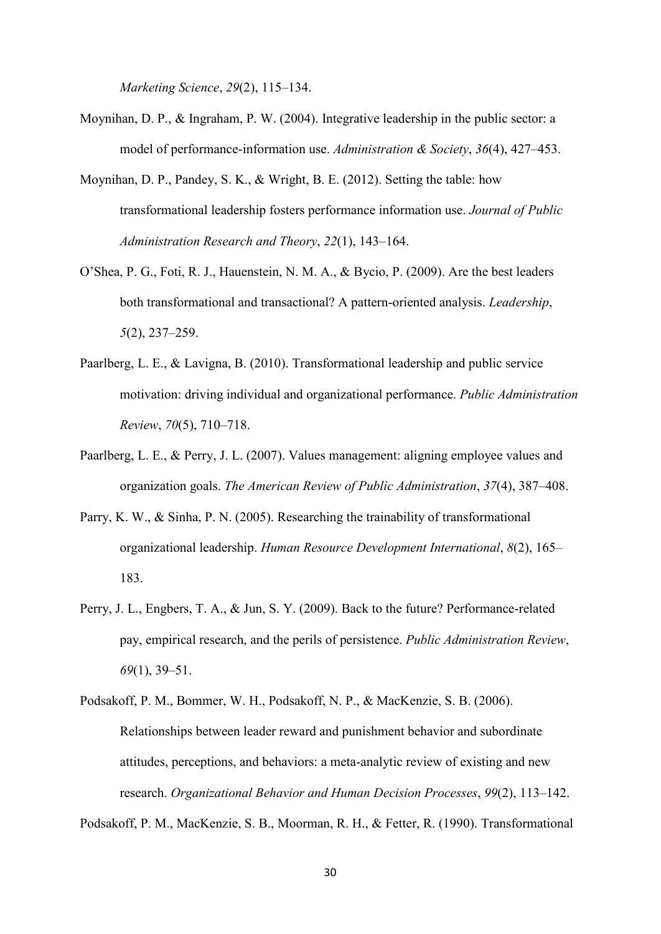*Marketing Science*, *29*(2), 115–134.

- Moynihan, D. P., & Ingraham, P. W. (2004). Integrative leadership in the public sector: a model of performance-information use. *Administration & Society*, *36*(4), 427–453.
- Moynihan, D. P., Pandey, S. K., & Wright, B. E. (2012). Setting the table: how transformational leadership fosters performance information use. *Journal of Public Administration Research and Theory*, *22*(1), 143–164.
- O'Shea, P. G., Foti, R. J., Hauenstein, N. M. A., & Bycio, P. (2009). Are the best leaders both transformational and transactional? A pattern-oriented analysis. *Leadership*, *5*(2), 237–259.
- Paarlberg, L. E., & Lavigna, B. (2010). Transformational leadership and public service motivation: driving individual and organizational performance. *Public Administration Review*, *70*(5), 710–718.
- Paarlberg, L. E., & Perry, J. L. (2007). Values management: aligning employee values and organization goals. *The American Review of Public Administration*, *37*(4), 387–408.
- Parry, K. W., & Sinha, P. N. (2005). Researching the trainability of transformational organizational leadership. *Human Resource Development International*, *8*(2), 165– 183.
- Perry, J. L., Engbers, T. A., & Jun, S. Y. (2009). Back to the future? Performance-related pay, empirical research, and the perils of persistence. *Public Administration Review*, *69*(1), 39–51.
- Podsakoff, P. M., Bommer, W. H., Podsakoff, N. P., & MacKenzie, S. B. (2006). Relationships between leader reward and punishment behavior and subordinate attitudes, perceptions, and behaviors: a meta-analytic review of existing and new research. *Organizational Behavior and Human Decision Processes*, *99*(2), 113–142.

Podsakoff, P. M., MacKenzie, S. B., Moorman, R. H., & Fetter, R. (1990). Transformational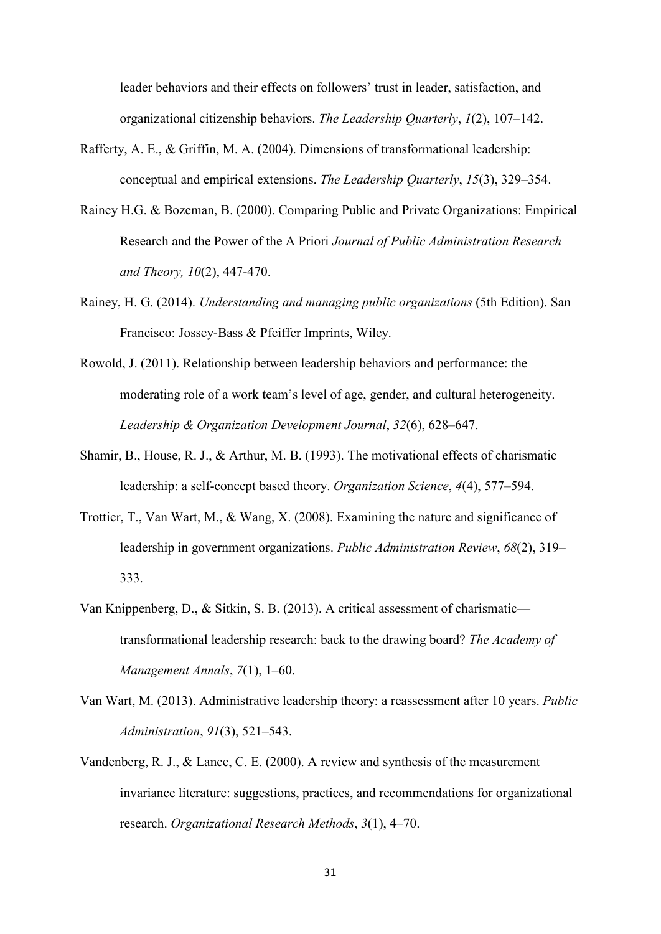leader behaviors and their effects on followers' trust in leader, satisfaction, and organizational citizenship behaviors. *The Leadership Quarterly*, *1*(2), 107–142.

- Rafferty, A. E., & Griffin, M. A. (2004). Dimensions of transformational leadership: conceptual and empirical extensions. *The Leadership Quarterly*, *15*(3), 329–354.
- Rainey H.G. & Bozeman, B. (2000). Comparing Public and Private Organizations: Empirical Research and the Power of the A Priori *Journal of Public Administration Research and Theory, 10*(2), 447-470.
- Rainey, H. G. (2014). *Understanding and managing public organizations* (5th Edition). San Francisco: Jossey-Bass & Pfeiffer Imprints, Wiley.
- Rowold, J. (2011). Relationship between leadership behaviors and performance: the moderating role of a work team's level of age, gender, and cultural heterogeneity. *Leadership & Organization Development Journal*, *32*(6), 628–647.
- Shamir, B., House, R. J., & Arthur, M. B. (1993). The motivational effects of charismatic leadership: a self-concept based theory. *Organization Science*, *4*(4), 577–594.
- Trottier, T., Van Wart, M., & Wang, X. (2008). Examining the nature and significance of leadership in government organizations. *Public Administration Review*, *68*(2), 319– 333.
- Van Knippenberg, D., & Sitkin, S. B. (2013). A critical assessment of charismatic transformational leadership research: back to the drawing board? *The Academy of Management Annals*, *7*(1), 1–60.
- Van Wart, M. (2013). Administrative leadership theory: a reassessment after 10 years. *Public Administration*, *91*(3), 521–543.
- Vandenberg, R. J., & Lance, C. E. (2000). A review and synthesis of the measurement invariance literature: suggestions, practices, and recommendations for organizational research. *Organizational Research Methods*, *3*(1), 4–70.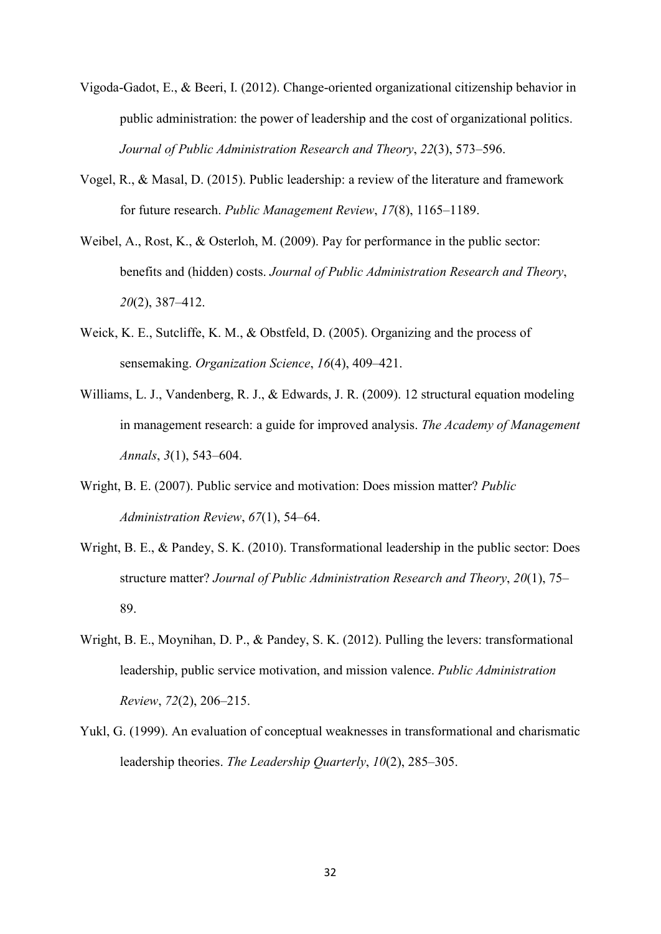- Vigoda-Gadot, E., & Beeri, I. (2012). Change-oriented organizational citizenship behavior in public administration: the power of leadership and the cost of organizational politics. *Journal of Public Administration Research and Theory*, *22*(3), 573–596.
- Vogel, R., & Masal, D. (2015). Public leadership: a review of the literature and framework for future research. *Public Management Review*, *17*(8), 1165–1189.
- Weibel, A., Rost, K., & Osterloh, M. (2009). Pay for performance in the public sector: benefits and (hidden) costs. *Journal of Public Administration Research and Theory*, *20*(2), 387–412.
- Weick, K. E., Sutcliffe, K. M., & Obstfeld, D. (2005). Organizing and the process of sensemaking. *Organization Science*, *16*(4), 409–421.
- Williams, L. J., Vandenberg, R. J., & Edwards, J. R. (2009). 12 structural equation modeling in management research: a guide for improved analysis. *The Academy of Management Annals*, *3*(1), 543–604.
- Wright, B. E. (2007). Public service and motivation: Does mission matter? *Public Administration Review*, *67*(1), 54–64.
- Wright, B. E., & Pandey, S. K. (2010). Transformational leadership in the public sector: Does structure matter? *Journal of Public Administration Research and Theory*, *20*(1), 75– 89.
- Wright, B. E., Moynihan, D. P., & Pandey, S. K. (2012). Pulling the levers: transformational leadership, public service motivation, and mission valence. *Public Administration Review*, *72*(2), 206–215.
- Yukl, G. (1999). An evaluation of conceptual weaknesses in transformational and charismatic leadership theories. *The Leadership Quarterly*, *10*(2), 285–305.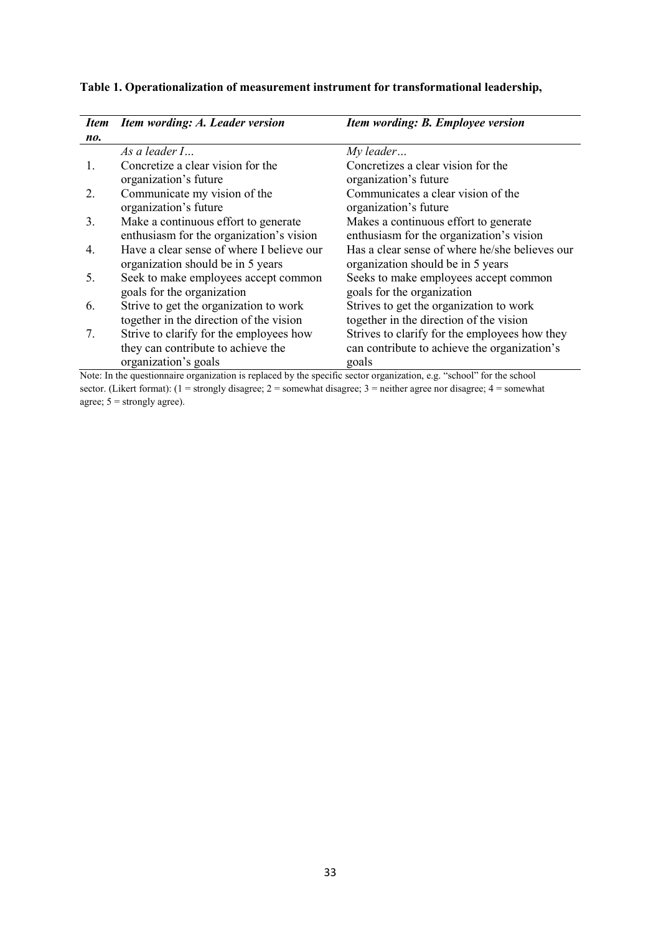| <i>Item</i> | Item wording: A. Leader version                                                                                              | Item wording: B. Employee version              |
|-------------|------------------------------------------------------------------------------------------------------------------------------|------------------------------------------------|
| no.         |                                                                                                                              |                                                |
|             | As a leader I                                                                                                                | $My$ leader                                    |
| 1.          | Concretize a clear vision for the                                                                                            | Concretizes a clear vision for the             |
|             | organization's future                                                                                                        | organization's future                          |
| 2.          | Communicate my vision of the                                                                                                 | Communicates a clear vision of the             |
|             | organization's future                                                                                                        | organization's future                          |
| 3.          | Make a continuous effort to generate                                                                                         | Makes a continuous effort to generate          |
|             | enthusiasm for the organization's vision                                                                                     | enthusiasm for the organization's vision       |
| 4.          | Have a clear sense of where I believe our                                                                                    | Has a clear sense of where he/she believes our |
|             | organization should be in 5 years                                                                                            | organization should be in 5 years              |
| 5.          | Seek to make employees accept common                                                                                         | Seeks to make employees accept common          |
|             | goals for the organization                                                                                                   | goals for the organization                     |
| 6.          | Strive to get the organization to work                                                                                       | Strives to get the organization to work        |
|             | together in the direction of the vision                                                                                      | together in the direction of the vision        |
| 7.          | Strive to clarify for the employees how                                                                                      | Strives to clarify for the employees how they  |
|             | they can contribute to achieve the                                                                                           | can contribute to achieve the organization's   |
|             | organization's goals                                                                                                         | goals                                          |
|             | Note: In the questionnaire organization is replaced by the specific sector organization $e^{\alpha}$ "school" for the school |                                                |

## **Table 1. Operationalization of measurement instrument for transformational leadership,**

Note: In the questionnaire organization is replaced by the specific sector organization, e.g. "school" for the school sector. (Likert format): (1 = strongly disagree; 2 = somewhat disagree; 3 = neither agree nor disagree; 4 = somewhat agree;  $5 =$  strongly agree).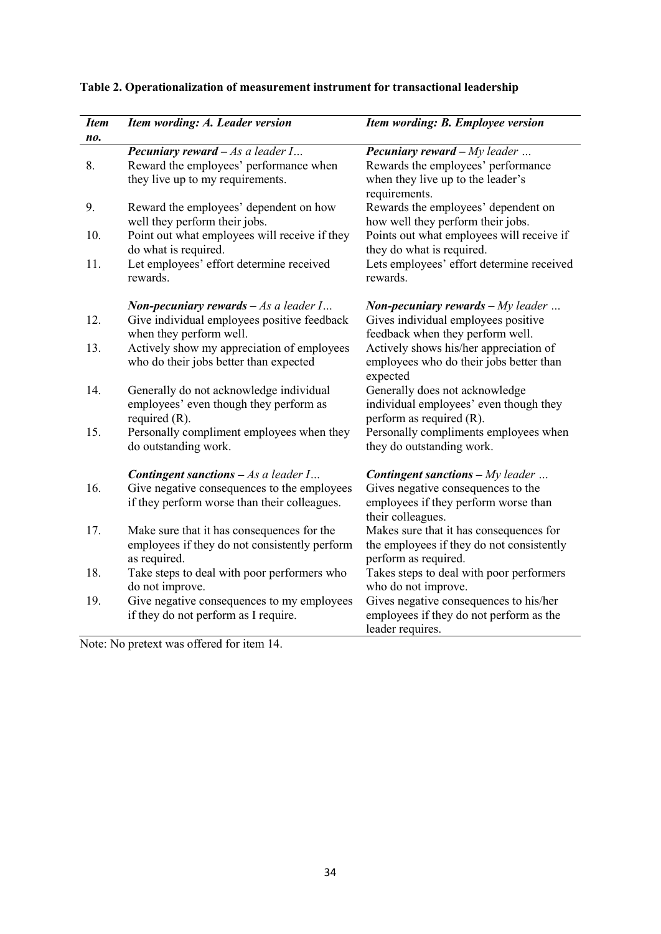| <b>Item</b> | Item wording: A. Leader version                                                                             | Item wording: B. Employee version                                                                            |
|-------------|-------------------------------------------------------------------------------------------------------------|--------------------------------------------------------------------------------------------------------------|
| no.         |                                                                                                             |                                                                                                              |
|             | <b>Pecuniary reward</b> $-$ As a leader I                                                                   | <b>Pecuniary reward</b> $-My$ leader                                                                         |
| 8.          | Reward the employees' performance when<br>they live up to my requirements.                                  | Rewards the employees' performance<br>when they live up to the leader's<br>requirements.                     |
| 9.          | Reward the employees' dependent on how<br>well they perform their jobs.                                     | Rewards the employees' dependent on<br>how well they perform their jobs.                                     |
| 10.         | Point out what employees will receive if they<br>do what is required.                                       | Points out what employees will receive if<br>they do what is required.                                       |
| 11.         | Let employees' effort determine received<br>rewards.                                                        | Lets employees' effort determine received<br>rewards.                                                        |
|             | <b>Non-pecuniary rewards</b> $-As$ a leader $I$                                                             | <b>Non-pecuniary rewards</b> $-My$ leader                                                                    |
| 12.         | Give individual employees positive feedback<br>when they perform well.                                      | Gives individual employees positive<br>feedback when they perform well.                                      |
| 13.         | Actively show my appreciation of employees<br>who do their jobs better than expected                        | Actively shows his/her appreciation of<br>employees who do their jobs better than<br>expected                |
| 14.         | Generally do not acknowledge individual<br>employees' even though they perform as<br>required $(R)$ .       | Generally does not acknowledge<br>individual employees' even though they<br>perform as required (R).         |
| 15.         | Personally compliment employees when they<br>do outstanding work.                                           | Personally compliments employees when<br>they do outstanding work.                                           |
|             | <b>Contingent sanctions</b> $- As a leader I$                                                               | <b>Contingent sanctions - My leader </b>                                                                     |
| 16.         | Give negative consequences to the employees<br>if they perform worse than their colleagues.                 | Gives negative consequences to the<br>employees if they perform worse than<br>their colleagues.              |
| 17.         | Make sure that it has consequences for the<br>employees if they do not consistently perform<br>as required. | Makes sure that it has consequences for<br>the employees if they do not consistently<br>perform as required. |
| 18.         | Take steps to deal with poor performers who<br>do not improve.                                              | Takes steps to deal with poor performers<br>who do not improve.                                              |
| 19.         | Give negative consequences to my employees<br>if they do not perform as I require.                          | Gives negative consequences to his/her<br>employees if they do not perform as the<br>leader requires.        |

# **Table 2. Operationalization of measurement instrument for transactional leadership**

Note: No pretext was offered for item 14.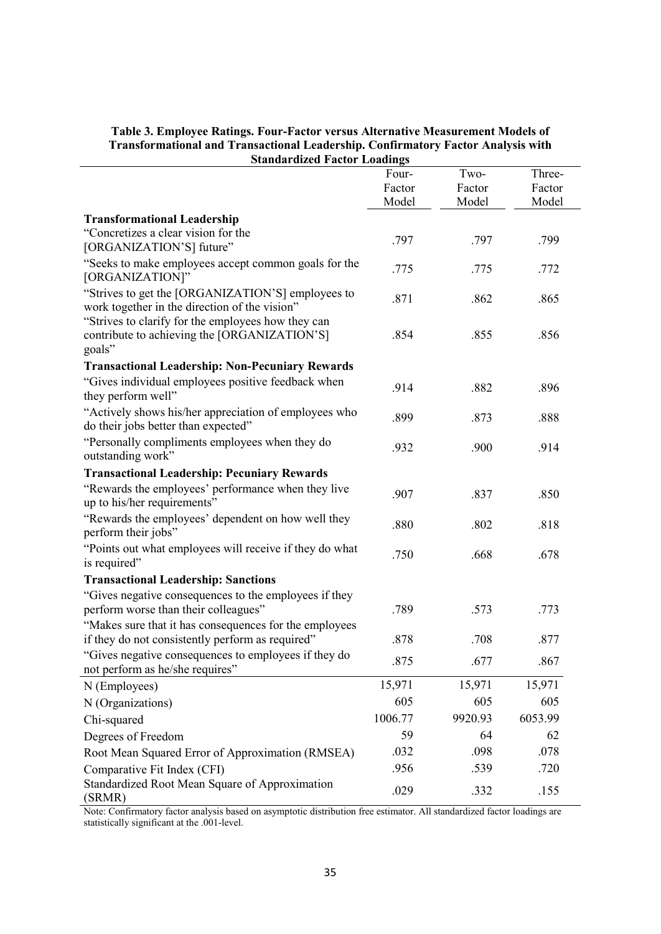| Table 3. Employee Ratings. Four-Factor versus Alternative Measurement Models of         |
|-----------------------------------------------------------------------------------------|
| <b>Transformational and Transactional Leadership. Confirmatory Factor Analysis with</b> |
| <b>Standardized Factor Loadings</b>                                                     |

| Standardized Factor Loadings                            |         |         |         |
|---------------------------------------------------------|---------|---------|---------|
|                                                         | Four-   | Two-    | Three-  |
|                                                         | Factor  | Factor  | Factor  |
|                                                         | Model   | Model   | Model   |
| <b>Transformational Leadership</b>                      |         |         |         |
| "Concretizes a clear vision for the                     | .797    | .797    | .799    |
| [ORGANIZATION'S] future"                                |         |         |         |
| "Seeks to make employees accept common goals for the    | .775    | .775    | .772    |
| [ORGANIZATION]"                                         |         |         |         |
| "Strives to get the [ORGANIZATION'S] employees to       | .871    | .862    | .865    |
| work together in the direction of the vision"           |         |         |         |
| "Strives to clarify for the employees how they can      |         |         |         |
| contribute to achieving the [ORGANIZATION'S]            | .854    | .855    | .856    |
| goals"                                                  |         |         |         |
| <b>Transactional Leadership: Non-Pecuniary Rewards</b>  |         |         |         |
| "Gives individual employees positive feedback when      | .914    | .882    | .896    |
| they perform well"                                      |         |         |         |
| "Actively shows his/her appreciation of employees who   | .899    | .873    | .888    |
| do their jobs better than expected"                     |         |         |         |
| "Personally compliments employees when they do          | .932    | .900    | .914    |
| outstanding work"                                       |         |         |         |
| <b>Transactional Leadership: Pecuniary Rewards</b>      |         |         |         |
| "Rewards the employees' performance when they live      | .907    | .837    | .850    |
| up to his/her requirements"                             |         |         |         |
| "Rewards the employees' dependent on how well they      | .880    | .802    | .818    |
| perform their jobs"                                     |         |         |         |
| "Points out what employees will receive if they do what | .750    | .668    | .678    |
| is required"                                            |         |         |         |
| <b>Transactional Leadership: Sanctions</b>              |         |         |         |
| "Gives negative consequences to the employees if they   |         |         |         |
| perform worse than their colleagues"                    | .789    | .573    | .773    |
| "Makes sure that it has consequences for the employees  |         |         |         |
| if they do not consistently perform as required"        | .878    | .708    | .877    |
| "Gives negative consequences to employees if they do    | .875    | .677    | .867    |
| not perform as he/she requires"                         |         |         |         |
| N (Employees)                                           | 15,971  | 15,971  | 15,971  |
| N (Organizations)                                       | 605     | 605     | 605     |
| Chi-squared                                             | 1006.77 | 9920.93 | 6053.99 |
| Degrees of Freedom                                      | 59      | 64      | 62      |
| Root Mean Squared Error of Approximation (RMSEA)        | .032    | .098    | .078    |
| Comparative Fit Index (CFI)                             | .956    | .539    | .720    |
| Standardized Root Mean Square of Approximation          |         |         |         |
| (SRMR)                                                  | .029    | .332    | .155    |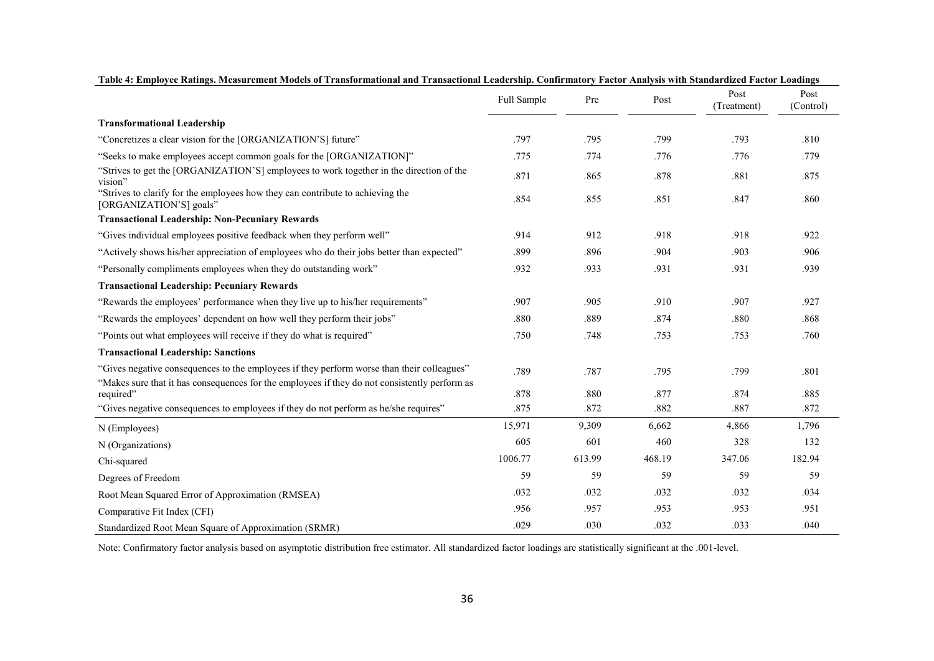|                                                                                                                                                                                             | Full Sample | Pre    | Post   | Post<br>(Treatment) | Post<br>(Control) |
|---------------------------------------------------------------------------------------------------------------------------------------------------------------------------------------------|-------------|--------|--------|---------------------|-------------------|
| <b>Transformational Leadership</b>                                                                                                                                                          |             |        |        |                     |                   |
| "Concretizes a clear vision for the [ORGANIZATION'S] future"                                                                                                                                | .797        | .795   | .799   | .793                | .810              |
| "Seeks to make employees accept common goals for the [ORGANIZATION]"                                                                                                                        | .775        | .774   | .776   | .776                | .779              |
| "Strives to get the [ORGANIZATION'S] employees to work together in the direction of the<br>vision"                                                                                          | .871        | .865   | .878   | .881                | .875              |
| "Strives to clarify for the employees how they can contribute to achieving the<br>[ORGANIZATION'S] goals"                                                                                   | .854        | .855   | .851   | .847                | .860              |
| <b>Transactional Leadership: Non-Pecuniary Rewards</b>                                                                                                                                      |             |        |        |                     |                   |
| "Gives individual employees positive feedback when they perform well"                                                                                                                       | .914        | .912   | .918   | .918                | .922              |
| "Actively shows his/her appreciation of employees who do their jobs better than expected"                                                                                                   | .899        | .896   | .904   | .903                | .906              |
| "Personally compliments employees when they do outstanding work"                                                                                                                            | .932        | .933   | .931   | .931                | .939              |
| <b>Transactional Leadership: Pecuniary Rewards</b>                                                                                                                                          |             |        |        |                     |                   |
| "Rewards the employees' performance when they live up to his/her requirements"                                                                                                              | .907        | .905   | .910   | .907                | .927              |
| "Rewards the employees' dependent on how well they perform their jobs"                                                                                                                      | .880        | .889   | .874   | .880                | .868              |
| "Points out what employees will receive if they do what is required"                                                                                                                        | .750        | .748   | .753   | .753                | .760              |
| <b>Transactional Leadership: Sanctions</b>                                                                                                                                                  |             |        |        |                     |                   |
| "Gives negative consequences to the employees if they perform worse than their colleagues"<br>"Makes sure that it has consequences for the employees if they do not consistently perform as | .789        | .787   | .795   | .799                | .801              |
| required"                                                                                                                                                                                   | .878        | .880   | .877   | .874                | .885              |
| "Gives negative consequences to employees if they do not perform as he/she requires"                                                                                                        | .875        | .872   | .882   | .887                | .872              |
| N (Employees)                                                                                                                                                                               | 15,971      | 9,309  | 6,662  | 4,866               | 1,796             |
| N (Organizations)                                                                                                                                                                           | 605         | 601    | 460    | 328                 | 132               |
| Chi-squared                                                                                                                                                                                 | 1006.77     | 613.99 | 468.19 | 347.06              | 182.94            |
| Degrees of Freedom                                                                                                                                                                          | 59          | 59     | 59     | 59                  | 59                |
| Root Mean Squared Error of Approximation (RMSEA)                                                                                                                                            | .032        | .032   | .032   | .032                | .034              |
| Comparative Fit Index (CFI)                                                                                                                                                                 | .956        | .957   | .953   | .953                | .951              |
| Standardized Root Mean Square of Approximation (SRMR)                                                                                                                                       | .029        | .030   | .032   | .033                | .040              |

| Table 4: Employee Ratings. Measurement Models of Transformational and Transactional Leadership. Confirmatory Factor Analysis with Standardized Factor Loadings |  |
|----------------------------------------------------------------------------------------------------------------------------------------------------------------|--|
|----------------------------------------------------------------------------------------------------------------------------------------------------------------|--|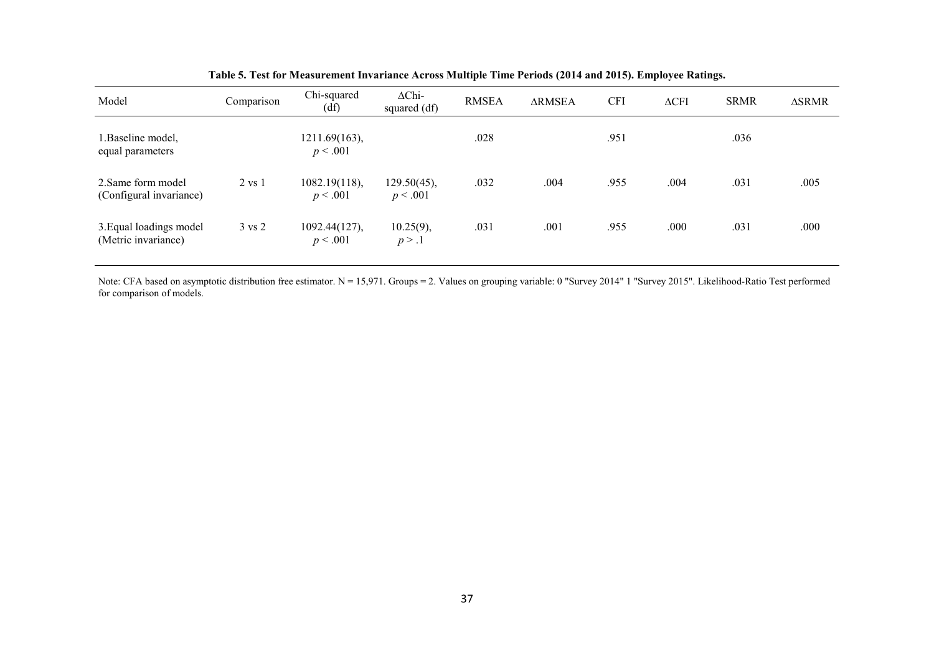| Model                                          | Comparison        | Chi-squared<br>(df)       | $\Delta$ Chi-<br>squared (df) | <b>RMSEA</b> | <b>ARMSEA</b> | <b>CFI</b> | $\triangle CFI$ | <b>SRMR</b> | <b>ASRMR</b> |
|------------------------------------------------|-------------------|---------------------------|-------------------------------|--------------|---------------|------------|-----------------|-------------|--------------|
| I.Baseline model,<br>equal parameters          |                   | 1211.69(163),<br>p < .001 |                               | .028         |               | .951       |                 | .036        |              |
| 2. Same form model<br>(Configural invariance)  | $2 \text{ vs } 1$ | 1082.19(118),<br>p < .001 | $129.50(45)$ ,<br>p < .001    | .032         | .004          | .955       | .004            | .031        | .005         |
| 3. Equal loadings model<br>(Metric invariance) | $3 \text{ vs } 2$ | 1092.44(127),<br>p < .001 | $10.25(9)$ ,<br>p > 0.1       | .031         | .001          | .955       | .000            | .031        | .000         |

**Table 5. Test for Measurement Invariance Across Multiple Time Periods (2014 and 2015). Employee Ratings.**

Note: CFA based on asymptotic distribution free estimator. N = 15,971. Groups = 2. Values on grouping variable: 0 "Survey 2014" 1 "Survey 2015". Likelihood-Ratio Test performed for comparison of models.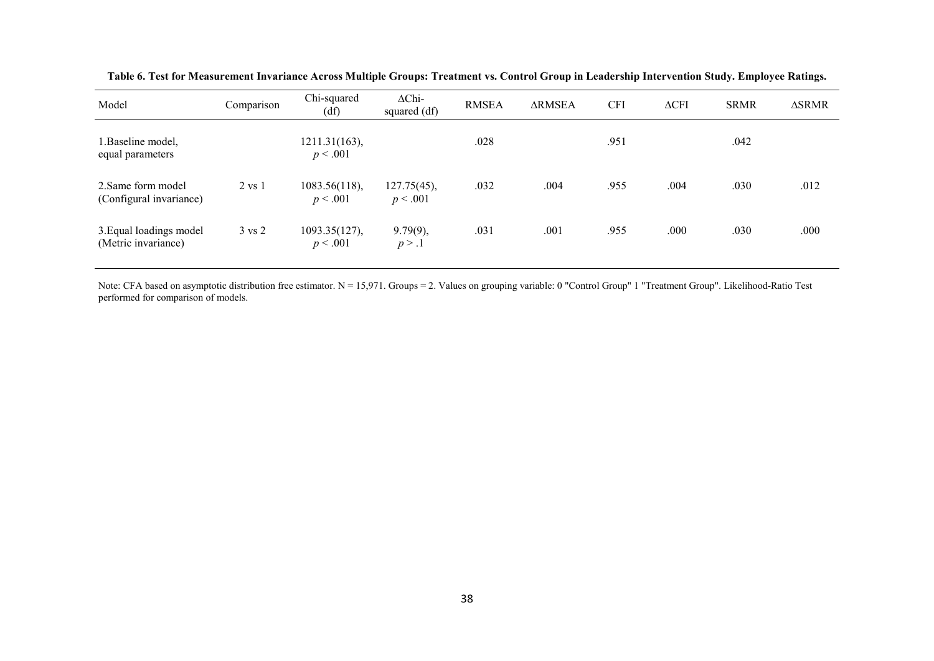| Model                                          | Comparison        | Chi-squared<br>(df)       | $\Delta$ Chi-<br>squared (df) | <b>RMSEA</b> | <b>ARMSEA</b> | <b>CFI</b> | $\triangle CFI$ | <b>SRMR</b> | <b>ASRMR</b> |
|------------------------------------------------|-------------------|---------------------------|-------------------------------|--------------|---------------|------------|-----------------|-------------|--------------|
| 1. Baseline model,<br>equal parameters         |                   | 1211.31(163),<br>p < .001 |                               | .028         |               | .951       |                 | .042        |              |
| 2. Same form model<br>(Configural invariance)  | $2 \text{ vs } 1$ | 1083.56(118),<br>p < .001 | 127.75(45),<br>p < .001       | .032         | .004          | .955       | .004            | .030        | .012         |
| 3. Equal loadings model<br>(Metric invariance) | $3 \text{ vs } 2$ | 1093.35(127),<br>p < .001 | $9.79(9)$ ,<br>p > 0.1        | .031         | .001          | .955       | .000            | .030        | .000         |

**Table 6. Test for Measurement Invariance Across Multiple Groups: Treatment vs. Control Group in Leadership Intervention Study. Employee Ratings.**

Note: CFA based on asymptotic distribution free estimator. N = 15,971. Groups = 2. Values on grouping variable: 0 "Control Group" 1 "Treatment Group". Likelihood-Ratio Test performed for comparison of models.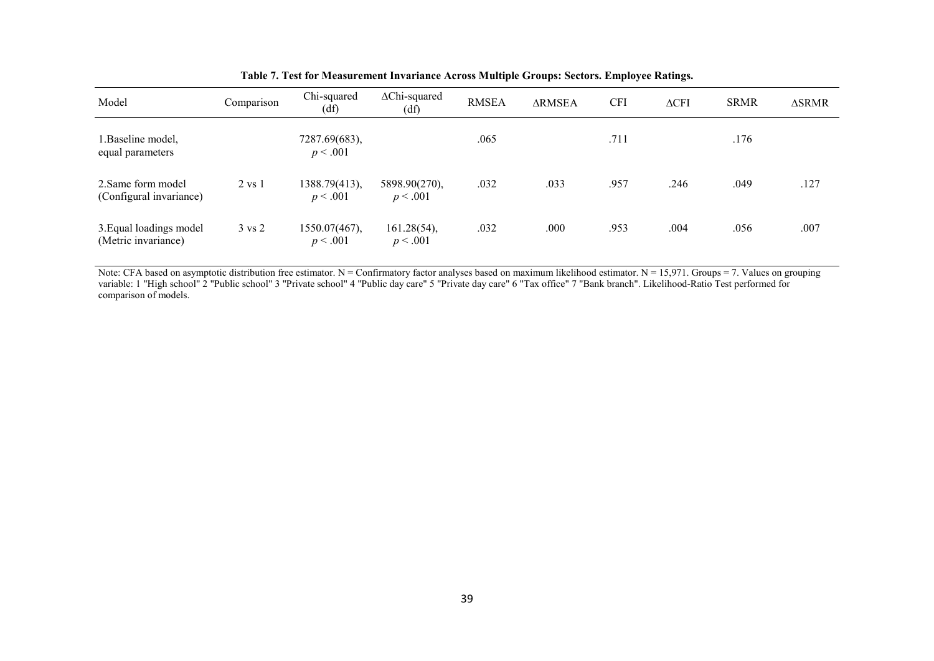| Model                                          | Comparison        | Chi-squared<br>(df)       | $\Delta$ Chi-squared<br>(df) | <b>RMSEA</b> | <b>ARMSEA</b> | <b>CFI</b> | $\triangle CFI$ | <b>SRMR</b> | <b>ASRMR</b> |
|------------------------------------------------|-------------------|---------------------------|------------------------------|--------------|---------------|------------|-----------------|-------------|--------------|
| l.Baseline model,<br>equal parameters          |                   | 7287.69(683),<br>p < .001 |                              | .065         |               | .711       |                 | .176        |              |
| 2. Same form model<br>(Configural invariance)  | $2 \text{ vs } 1$ | 1388.79(413),<br>p < .001 | 5898.90(270),<br>p < .001    | .032         | .033          | .957       | .246            | .049        | .127         |
| 3. Equal loadings model<br>(Metric invariance) | $3 \text{ vs } 2$ | 1550.07(467),<br>p < .001 | $161.28(54)$ ,<br>p < .001   | .032         | .000          | .953       | .004            | .056        | .007         |

| Table 7. Test for Measurement Invariance Across Multiple Groups: Sectors. Employee Ratings. |  |  |
|---------------------------------------------------------------------------------------------|--|--|
|                                                                                             |  |  |

Note: CFA based on asymptotic distribution free estimator. N = Confirmatory factor analyses based on maximum likelihood estimator. N = 15,971. Groups = 7. Values on grouping variable: 1 "High school" 2 "Public school" 3 "Private school" 4 "Public day care" 5 "Private day care" 6 "Tax office" 7 "Bank branch". Likelihood-Ratio Test performed for comparison of models.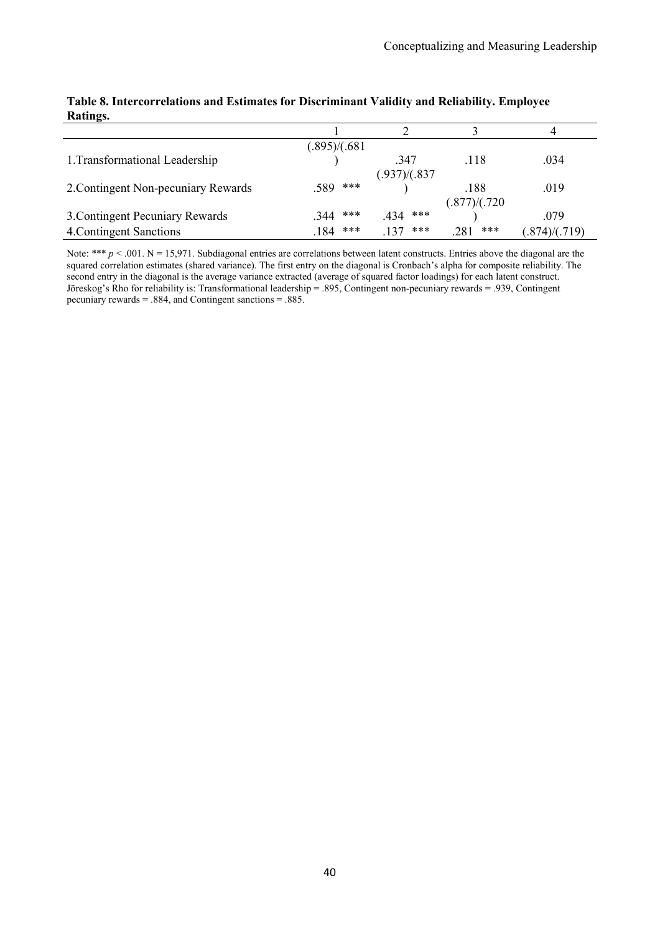|                                     | (.895)/(.681) |               |               |               |
|-------------------------------------|---------------|---------------|---------------|---------------|
| 1. Transformational Leadership      |               | .347          | .118          | .034          |
|                                     |               | (.937)/(.837) |               |               |
| 2. Contingent Non-pecuniary Rewards | ***<br>.589   |               | .188          | .019          |
|                                     |               |               | (.877)/(.720) |               |
| 3. Contingent Pecuniary Rewards     | ***<br>.344   | ***<br>.434   |               | .079          |
| 4. Contingent Sanctions             | ***<br>.184   | ***<br>137    | ***<br>281    | (.874)/(.719) |

#### **Table 8. Intercorrelations and Estimates for Discriminant Validity and Reliability. Employee Ratings.**

Note: \*\*\*  $p < .001$ . N = 15,971. Subdiagonal entries are correlations between latent constructs. Entries above the diagonal are the squared correlation estimates (shared variance). The first entry on the diagonal is Cronbach's alpha for composite reliability. The second entry in the diagonal is the average variance extracted (average of squared factor loadings) for each latent construct. Jöreskog's Rho for reliability is: Transformational leadership = .895, Contingent non-pecuniary rewards = .939, Contingent pecuniary rewards = .884, and Contingent sanctions = .885.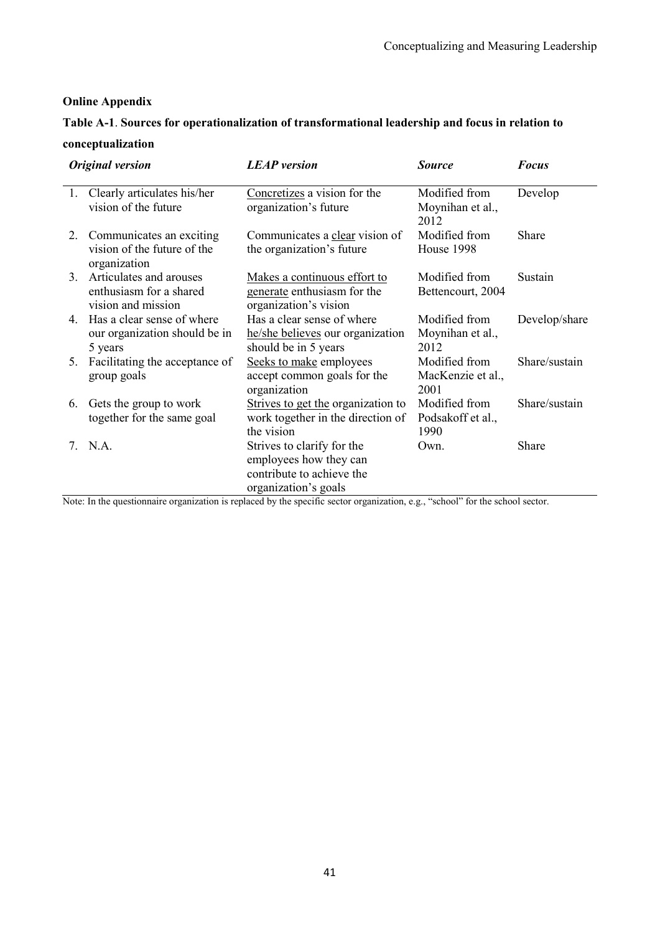### **Online Appendix**

# **Table A-1**. **Sources for operationalization of transformational leadership and focus in relation to**

## **conceptualization**

| <b>Original version</b> |                                                                           | <b>LEAP</b> version                                                                                       | <b>Source</b>                              | <b>Focus</b>  |  |
|-------------------------|---------------------------------------------------------------------------|-----------------------------------------------------------------------------------------------------------|--------------------------------------------|---------------|--|
| 1.                      | Clearly articulates his/her<br>vision of the future                       | Concretizes a vision for the<br>organization's future                                                     | Modified from<br>Moynihan et al.,<br>2012  | Develop       |  |
| 2.                      | Communicates an exciting<br>vision of the future of the<br>organization   | Communicates a clear vision of<br>the organization's future                                               | Modified from<br>House 1998                | Share         |  |
| 3.                      | Articulates and arouses<br>enthusiasm for a shared<br>vision and mission  | Makes a continuous effort to<br>generate enthusiasm for the<br>organization's vision                      | Modified from<br>Bettencourt, 2004         | Sustain       |  |
|                         | 4. Has a clear sense of where<br>our organization should be in<br>5 years | Has a clear sense of where<br>he/she believes our organization<br>should be in 5 years                    | Modified from<br>Moynihan et al.,<br>2012  | Develop/share |  |
| 5.                      | Facilitating the acceptance of<br>group goals                             | Seeks to make employees<br>accept common goals for the<br>organization                                    | Modified from<br>MacKenzie et al.,<br>2001 | Share/sustain |  |
| 6.                      | Gets the group to work<br>together for the same goal                      | Strives to get the organization to<br>work together in the direction of<br>the vision                     | Modified from<br>Podsakoff et al.,<br>1990 | Share/sustain |  |
|                         | 7. N.A.                                                                   | Strives to clarify for the<br>employees how they can<br>contribute to achieve the<br>organization's goals | Own.                                       | Share         |  |

Note: In the questionnaire organization is replaced by the specific sector organization, e.g., "school" for the school sector.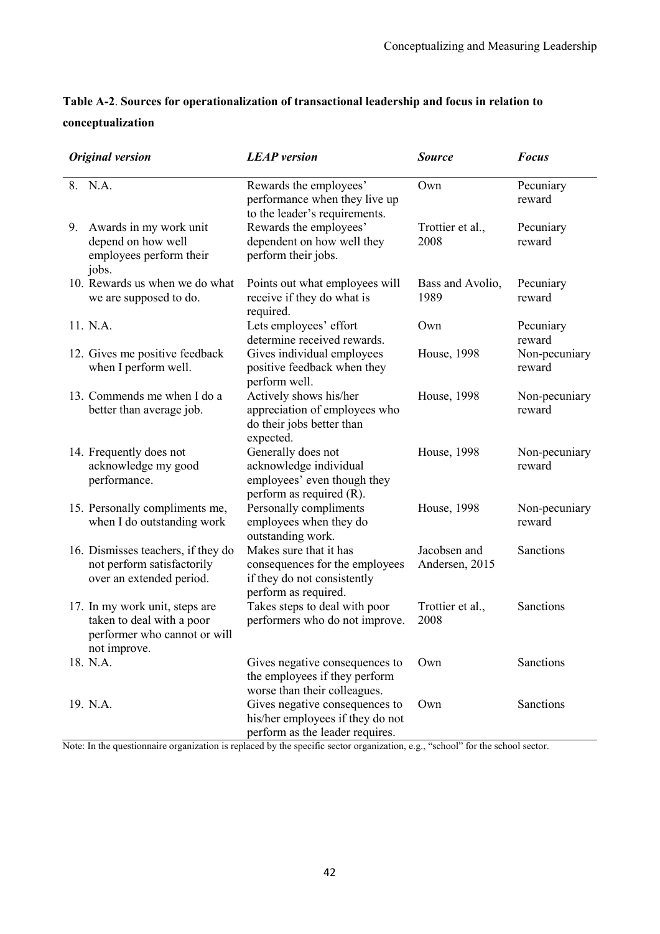# **Table A-2**. **Sources for operationalization of transactional leadership and focus in relation to conceptualization**

| <b>Original version</b>                                                                                     | <b>LEAP</b> version                                                                                             | <b>Source</b>                  | <b>Focus</b>            |
|-------------------------------------------------------------------------------------------------------------|-----------------------------------------------------------------------------------------------------------------|--------------------------------|-------------------------|
| 8. N.A.                                                                                                     | Rewards the employees'<br>performance when they live up<br>to the leader's requirements.                        | Own                            | Pecuniary<br>reward     |
| Awards in my work unit<br>9.<br>depend on how well<br>employees perform their<br>jobs.                      | Rewards the employees'<br>dependent on how well they<br>perform their jobs.                                     | Trottier et al.,<br>2008       | Pecuniary<br>reward     |
| 10. Rewards us when we do what<br>we are supposed to do.                                                    | Points out what employees will<br>receive if they do what is<br>required.                                       | Bass and Avolio,<br>1989       | Pecuniary<br>reward     |
| 11. N.A.                                                                                                    | Lets employees' effort<br>determine received rewards.                                                           | Own                            | Pecuniary<br>reward     |
| 12. Gives me positive feedback<br>when I perform well.                                                      | Gives individual employees<br>positive feedback when they<br>perform well.                                      | House, 1998                    | Non-pecuniary<br>reward |
| 13. Commends me when I do a<br>better than average job.                                                     | Actively shows his/her<br>appreciation of employees who<br>do their jobs better than<br>expected.               | House, 1998                    | Non-pecuniary<br>reward |
| 14. Frequently does not<br>acknowledge my good<br>performance.                                              | Generally does not<br>acknowledge individual<br>employees' even though they<br>perform as required (R).         | House, 1998                    | Non-pecuniary<br>reward |
| 15. Personally compliments me,<br>when I do outstanding work                                                | Personally compliments<br>employees when they do<br>outstanding work.                                           | House, 1998                    | Non-pecuniary<br>reward |
| 16. Dismisses teachers, if they do<br>not perform satisfactorily<br>over an extended period.                | Makes sure that it has<br>consequences for the employees<br>if they do not consistently<br>perform as required. | Jacobsen and<br>Andersen, 2015 | Sanctions               |
| 17. In my work unit, steps are<br>taken to deal with a poor<br>performer who cannot or will<br>not improve. | Takes steps to deal with poor<br>performers who do not improve.                                                 | Trottier et al.,<br>2008       | Sanctions               |
| 18. N.A.                                                                                                    | Gives negative consequences to<br>the employees if they perform<br>worse than their colleagues.                 | Own                            | Sanctions               |
| 19. N.A.                                                                                                    | Gives negative consequences to<br>his/her employees if they do not<br>perform as the leader requires.           | Own                            | Sanctions               |

Note: In the questionnaire organization is replaced by the specific sector organization, e.g., "school" for the school sector.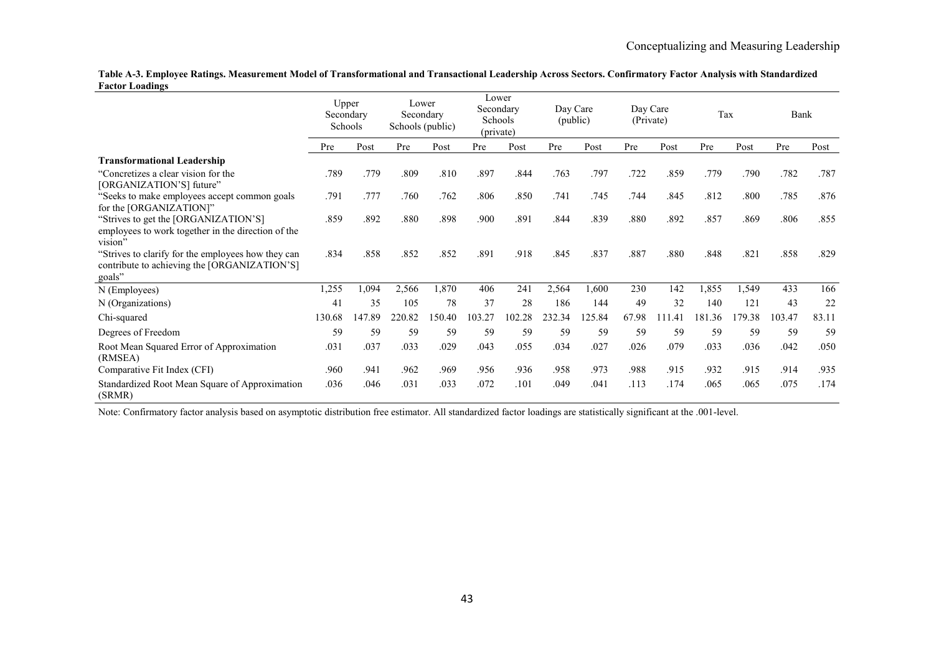**Table A-3. Employee Ratings. Measurement Model of Transformational and Transactional Leadership Across Sectors. Confirmatory Factor Analysis with Standardized Factor Loadings**

|                                                                                                              | Upper  | Secondary<br>Schools | Lower<br>Secondary<br>Schools (public) |        | Lower<br>Secondary<br>Schools<br>(private) |        | Day Care<br>(public) |       | Day Care<br>(Private) |        | Tax    |       | Bank   |       |
|--------------------------------------------------------------------------------------------------------------|--------|----------------------|----------------------------------------|--------|--------------------------------------------|--------|----------------------|-------|-----------------------|--------|--------|-------|--------|-------|
|                                                                                                              | Pre    | Post                 | Pre                                    | Post   | Pre                                        | Post   | Pre                  | Post  | Pre                   | Post   | Pre    | Post  | Pre    | Post  |
| <b>Transformational Leadership</b>                                                                           |        |                      |                                        |        |                                            |        |                      |       |                       |        |        |       |        |       |
| "Concretizes a clear vision for the<br>[ORGANIZATION'S] future"                                              | .789   | .779                 | .809                                   | .810   | .897                                       | .844   | .763                 | .797  | .722                  | .859   | .779   | .790  | .782   | .787  |
| "Seeks to make employees accept common goals<br>for the [ORGANIZATION]"                                      | .791   | .777                 | .760                                   | .762   | .806                                       | .850   | .741                 | .745  | .744                  | .845   | .812   | .800  | .785   | .876  |
| "Strives to get the [ORGANIZATION'S]<br>employees to work together in the direction of the<br>vision"        | .859   | .892                 | .880                                   | .898   | .900                                       | .891   | .844                 | .839  | .880                  | .892   | .857   | .869  | .806   | .855  |
| "Strives to clarify for the employees how they can<br>contribute to achieving the [ORGANIZATION'S]<br>goals" | .834   | .858                 | .852                                   | .852   | .891                                       | .918   | .845                 | .837  | .887                  | .880   | .848   | .821  | .858   | .829  |
| N (Employees)                                                                                                | 1,255  | .094                 | 2,566                                  | 1,870  | 406                                        | 241    | 2,564                | 1,600 | 230                   | 142    | 1,855  | 1,549 | 433    | 166   |
| N (Organizations)                                                                                            | 41     | 35                   | 105                                    | 78     | 37                                         | 28     | 186                  | 144   | 49                    | 32     | 140    | 121   | 43     | 22    |
| Chi-squared                                                                                                  | 130.68 | 147.89               | 220.82                                 | 150.40 | 103.27                                     | 102.28 | 232.34               | 25.84 | 67.98                 | 111.41 | 181.36 | 79.38 | 103.47 | 83.11 |
| Degrees of Freedom                                                                                           | 59     | 59                   | 59                                     | 59     | 59                                         | 59     | 59                   | 59    | 59                    | 59     | 59     | 59    | 59     | 59    |
| Root Mean Squared Error of Approximation<br>(RMSEA)                                                          | .031   | .037                 | .033                                   | .029   | .043                                       | .055   | .034                 | .027  | .026                  | .079   | .033   | .036  | .042   | .050  |
| Comparative Fit Index (CFI)                                                                                  | .960   | .941                 | .962                                   | .969   | .956                                       | .936   | .958                 | .973  | .988                  | .915   | .932   | .915  | .914   | .935  |
| Standardized Root Mean Square of Approximation<br>(SRMR)                                                     | .036   | .046                 | .031                                   | .033   | .072                                       | .101   | .049                 | .041  | .113                  | .174   | .065   | .065  | .075   | .174  |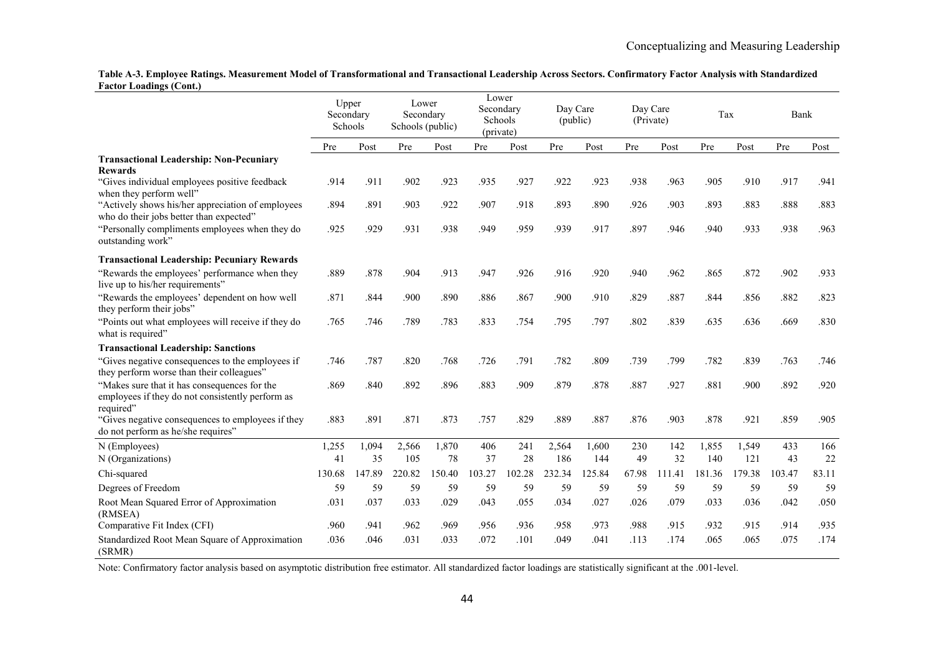**Table A-3. Employee Ratings. Measurement Model of Transformational and Transactional Leadership Across Sectors. Confirmatory Factor Analysis with Standardized Factor Loadings (Cont.)**

|                                                                                                               | Upper<br>Secondary<br>Schools |        | Lower<br>Secondary<br>Schools (public) |        | Lower<br>Secondary<br>Schools<br>(private) |        | Day Care<br>(public) |        | Day Care<br>(Private) |        | Tax    |        | Bank   |       |
|---------------------------------------------------------------------------------------------------------------|-------------------------------|--------|----------------------------------------|--------|--------------------------------------------|--------|----------------------|--------|-----------------------|--------|--------|--------|--------|-------|
|                                                                                                               | Pre                           | Post   | Pre                                    | Post   | Pre                                        | Post   | Pre                  | Post   | Pre                   | Post   | Pre    | Post   | Pre    | Post  |
| <b>Transactional Leadership: Non-Pecuniary</b><br><b>Rewards</b>                                              |                               |        |                                        |        |                                            |        |                      |        |                       |        |        |        |        |       |
| "Gives individual employees positive feedback<br>when they perform well"                                      | .914                          | .911   | .902                                   | .923   | .935                                       | .927   | .922                 | .923   | .938                  | .963   | .905   | .910   | .917   | .941  |
| "Actively shows his/her appreciation of employees<br>who do their jobs better than expected"                  | .894                          | .891   | .903                                   | .922   | .907                                       | .918   | .893                 | .890   | .926                  | .903   | .893   | .883   | .888   | .883  |
| "Personally compliments employees when they do<br>outstanding work"                                           | .925                          | .929   | .931                                   | .938   | .949                                       | .959   | .939                 | .917   | .897                  | .946   | .940   | .933   | .938   | .963  |
| <b>Transactional Leadership: Pecuniary Rewards</b>                                                            |                               |        |                                        |        |                                            |        |                      |        |                       |        |        |        |        |       |
| "Rewards the employees' performance when they<br>live up to his/her requirements"                             | .889                          | .878   | .904                                   | .913   | .947                                       | .926   | .916                 | .920   | .940                  | .962   | .865   | .872   | .902   | .933  |
| "Rewards the employees' dependent on how well<br>they perform their jobs"                                     | .871                          | .844   | .900                                   | .890   | .886                                       | .867   | .900                 | .910   | .829                  | .887   | .844   | .856   | .882   | .823  |
| "Points out what employees will receive if they do<br>what is required"                                       | .765                          | .746   | .789                                   | .783   | .833                                       | .754   | .795                 | .797   | .802                  | .839   | .635   | .636   | .669   | .830  |
| <b>Transactional Leadership: Sanctions</b>                                                                    |                               |        |                                        |        |                                            |        |                      |        |                       |        |        |        |        |       |
| "Gives negative consequences to the employees if<br>they perform worse than their colleagues"                 | .746                          | .787   | .820                                   | .768   | .726                                       | .791   | .782                 | .809   | .739                  | .799   | .782   | .839   | .763   | .746  |
| "Makes sure that it has consequences for the<br>employees if they do not consistently perform as<br>required" | .869                          | .840   | .892                                   | .896   | .883                                       | .909   | .879                 | .878   | .887                  | .927   | .881   | .900   | .892   | .920  |
| "Gives negative consequences to employees if they<br>do not perform as he/she requires"                       | .883                          | .891   | .871                                   | .873   | .757                                       | .829   | .889                 | .887   | .876                  | .903   | .878   | .921   | .859   | .905  |
| N (Employees)                                                                                                 | 1,255                         | 1,094  | 2,566                                  | 1,870  | 406                                        | 241    | 2,564                | 1,600  | 230                   | 142    | 1,855  | 1,549  | 433    | 166   |
| N (Organizations)                                                                                             | 41                            | 35     | 105                                    | 78     | 37                                         | 28     | 186                  | 144    | 49                    | 32     | 140    | 121    | 43     | 22    |
| Chi-squared                                                                                                   | 130.68                        | 147.89 | 220.82                                 | 150.40 | 103.27                                     | 102.28 | 232.34               | 125.84 | 67.98                 | 111.41 | 181.36 | 179.38 | 103.47 | 83.11 |
| Degrees of Freedom                                                                                            | 59                            | 59     | 59                                     | 59     | 59                                         | 59     | 59                   | 59     | 59                    | 59     | 59     | 59     | 59     | 59    |
| Root Mean Squared Error of Approximation<br>(RMSEA)                                                           | .031                          | .037   | .033                                   | .029   | .043                                       | .055   | .034                 | .027   | .026                  | .079   | .033   | .036   | .042   | .050  |
| Comparative Fit Index (CFI)                                                                                   | .960                          | .941   | .962                                   | .969   | .956                                       | .936   | .958                 | .973   | .988                  | .915   | .932   | .915   | .914   | .935  |
| Standardized Root Mean Square of Approximation<br>(SRMR)                                                      | .036                          | .046   | .031                                   | .033   | .072                                       | .101   | .049                 | .041   | .113                  | .174   | .065   | .065   | .075   | .174  |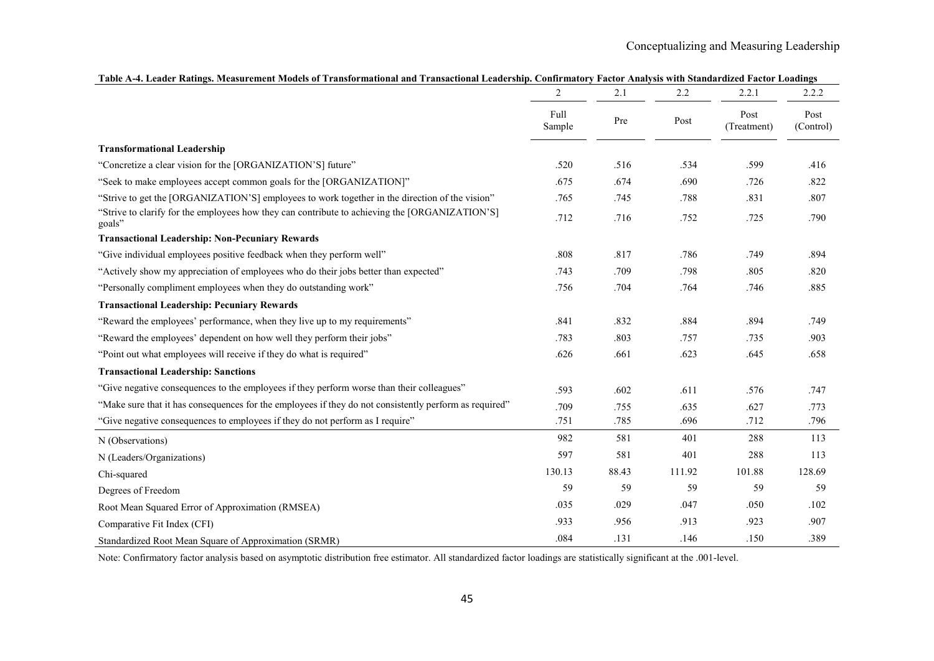| гарк А-7. Есацег кайнгэ, энсамгенен энэцсэ ог гганзюгтанонагана ттанзасионагысаасгэнр. Соннгтайогу гасиог мануэз үни эландагангаа гасиог Еоадингэ | $\overline{2}$ | 2.1   | 2.2    | 2.2.1               | 2.2.2             |
|---------------------------------------------------------------------------------------------------------------------------------------------------|----------------|-------|--------|---------------------|-------------------|
|                                                                                                                                                   | Full<br>Sample | Pre   | Post   | Post<br>(Treatment) | Post<br>(Control) |
| <b>Transformational Leadership</b>                                                                                                                |                |       |        |                     |                   |
| "Concretize a clear vision for the [ORGANIZATION'S] future"                                                                                       | .520           | .516  | .534   | .599                | .416              |
| "Seek to make employees accept common goals for the [ORGANIZATION]"                                                                               | .675           | .674  | .690   | .726                | .822              |
| "Strive to get the [ORGANIZATION'S] employees to work together in the direction of the vision"                                                    | .765           | .745  | .788   | .831                | .807              |
| "Strive to clarify for the employees how they can contribute to achieving the [ORGANIZATION'S]<br>goals"                                          | .712           | .716  | .752   | .725                | .790              |
| <b>Transactional Leadership: Non-Pecuniary Rewards</b>                                                                                            |                |       |        |                     |                   |
| "Give individual employees positive feedback when they perform well"                                                                              | $.808$         | .817  | .786   | .749                | .894              |
| "Actively show my appreciation of employees who do their jobs better than expected"                                                               | .743           | .709  | .798   | .805                | .820              |
| "Personally compliment employees when they do outstanding work"                                                                                   | .756           | .704  | .764   | .746                | .885              |
| <b>Transactional Leadership: Pecuniary Rewards</b>                                                                                                |                |       |        |                     |                   |
| "Reward the employees' performance, when they live up to my requirements"                                                                         | .841           | .832  | .884   | .894                | .749              |
| "Reward the employees' dependent on how well they perform their jobs"                                                                             | .783           | .803  | .757   | .735                | .903              |
| "Point out what employees will receive if they do what is required"                                                                               | .626           | .661  | .623   | .645                | .658              |
| <b>Transactional Leadership: Sanctions</b>                                                                                                        |                |       |        |                     |                   |
| "Give negative consequences to the employees if they perform worse than their colleagues"                                                         | .593           | .602  | .611   | .576                | .747              |
| "Make sure that it has consequences for the employees if they do not consistently perform as required"                                            | .709           | .755  | .635   | .627                | .773              |
| "Give negative consequences to employees if they do not perform as I require"                                                                     | .751           | .785  | .696   | .712                | .796              |
| N (Observations)                                                                                                                                  | 982            | 581   | 401    | 288                 | 113               |
| N (Leaders/Organizations)                                                                                                                         | 597            | 581   | 401    | 288                 | 113               |
| Chi-squared                                                                                                                                       | 130.13         | 88.43 | 111.92 | 101.88              | 128.69            |
| Degrees of Freedom                                                                                                                                | 59             | 59    | 59     | 59                  | 59                |
| Root Mean Squared Error of Approximation (RMSEA)                                                                                                  | .035           | .029  | .047   | .050                | .102              |
| Comparative Fit Index (CFI)                                                                                                                       | .933           | .956  | .913   | .923                | .907              |
| Standardized Root Mean Square of Approximation (SRMR)                                                                                             | .084           | .131  | .146   | .150                | .389              |

**Table A-4. Leader Ratings. Measurement Models of Transformational and Transactional Leadership. Confirmatory Factor Analysis with Standardized Factor Loadings**